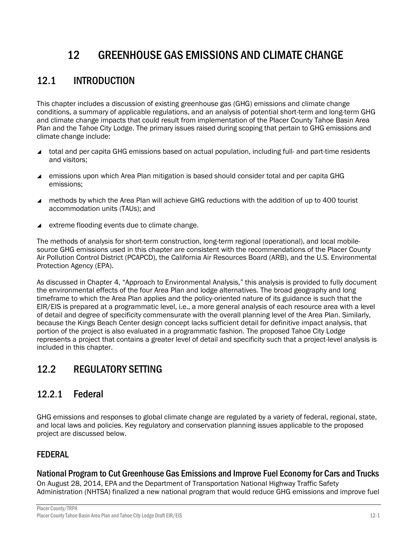# 12 GREENHOUSE GAS EMISSIONS AND CLIMATE CHANGE

# 12.1 INTRODUCTION

This chapter includes a discussion of existing greenhouse gas (GHG) emissions and climate change conditions, a summary of applicable regulations, and an analysis of potential short-term and long-term GHG and climate change impacts that could result from implementation of the Placer County Tahoe Basin Area Plan and the Tahoe City Lodge. The primary issues raised during scoping that pertain to GHG emissions and climate change include:

- total and per capita GHG emissions based on actual population, including full- and part-time residents and visitors;
- emissions upon which Area Plan mitigation is based should consider total and per capita GHG emissions;
- methods by which the Area Plan will achieve GHG reductions with the addition of up to 400 tourist accommodation units (TAUs); and
- ▲ extreme flooding events due to climate change.

The methods of analysis for short-term construction, long-term regional (operational), and local mobilesource GHG emissions used in this chapter are consistent with the recommendations of the Placer County Air Pollution Control District (PCAPCD), the California Air Resources Board (ARB), and the U.S. Environmental Protection Agency (EPA).

As discussed in Chapter 4, "Approach to Environmental Analysis," this analysis is provided to fully document the environmental effects of the four Area Plan and lodge alternatives. The broad geography and long timeframe to which the Area Plan applies and the policy-oriented nature of its guidance is such that the EIR/EIS is prepared at a programmatic level, i.e., a more general analysis of each resource area with a level of detail and degree of specificity commensurate with the overall planning level of the Area Plan. Similarly, because the Kings Beach Center design concept lacks sufficient detail for definitive impact analysis, that portion of the project is also evaluated in a programmatic fashion. The proposed Tahoe City Lodge represents a project that contains a greater level of detail and specificity such that a project-level analysis is included in this chapter.

# 12.2 REGULATORY SETTING

# 12.2.1 Federal

GHG emissions and responses to global climate change are regulated by a variety of federal, regional, state, and local laws and policies. Key regulatory and conservation planning issues applicable to the proposed project are discussed below.

# FEDERAL

## National Program to Cut Greenhouse Gas Emissions and Improve Fuel Economy for Cars and Trucks

On August 28, 2014, EPA and the Department of Transportation National Highway Traffic Safety Administration (NHTSA) finalized a new national program that would reduce GHG emissions and improve fuel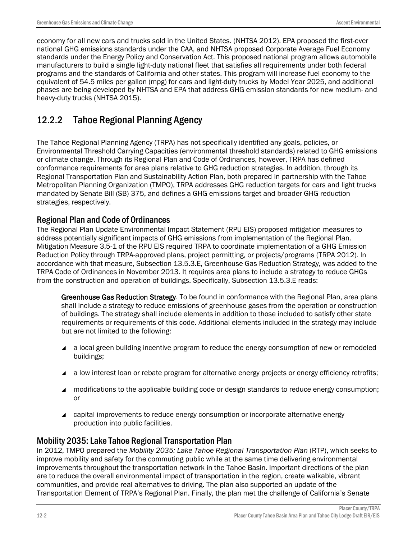economy for all new cars and trucks sold in the United States. (NHTSA 2012). EPA proposed the first-ever national GHG emissions standards under the CAA, and NHTSA proposed Corporate Average Fuel Economy standards under the Energy Policy and Conservation Act. This proposed national program allows automobile manufacturers to build a single light-duty national fleet that satisfies all requirements under both federal programs and the standards of California and other states. This program will increase fuel economy to the equivalent of 54.5 miles per gallon (mpg) for cars and light-duty trucks by Model Year 2025, and additional phases are being developed by NHTSA and EPA that address GHG emission standards for new medium- and heavy-duty trucks (NHTSA 2015).

# 12.2.2 Tahoe Regional Planning Agency

The Tahoe Regional Planning Agency (TRPA) has not specifically identified any goals, policies, or Environmental Threshold Carrying Capacities (environmental threshold standards) related to GHG emissions or climate change. Through its Regional Plan and Code of Ordinances, however, TRPA has defined conformance requirements for area plans relative to GHG reduction strategies. In addition, through its Regional Transportation Plan and Sustainability Action Plan, both prepared in partnership with the Tahoe Metropolitan Planning Organization (TMPO), TRPA addresses GHG reduction targets for cars and light trucks mandated by Senate Bill (SB) 375, and defines a GHG emissions target and broader GHG reduction strategies, respectively.

### Regional Plan and Code of Ordinances

The Regional Plan Update Environmental Impact Statement (RPU EIS) proposed mitigation measures to address potentially significant impacts of GHG emissions from implementation of the Regional Plan. Mitigation Measure 3.5-1 of the RPU EIS required TRPA to coordinate implementation of a GHG Emission Reduction Policy through TRPA-approved plans, project permitting, or projects/programs (TRPA 2012). In accordance with that measure, Subsection 13.5.3.E, Greenhouse Gas Reduction Strategy, was added to the TRPA Code of Ordinances in November 2013. It requires area plans to include a strategy to reduce GHGs from the construction and operation of buildings. Specifically, Subsection 13.5.3.E reads:

Greenhouse Gas Reduction Strategy. To be found in conformance with the Regional Plan, area plans shall include a strategy to reduce emissions of greenhouse gases from the operation or construction of buildings. The strategy shall include elements in addition to those included to satisfy other state requirements or requirements of this code. Additional elements included in the strategy may include but are not limited to the following:

- ▲ a local green building incentive program to reduce the energy consumption of new or remodeled buildings;
- a low interest loan or rebate program for alternative energy projects or energy efficiency retrofits;
- ▲ modifications to the applicable building code or design standards to reduce energy consumption; or
- capital improvements to reduce energy consumption or incorporate alternative energy production into public facilities.

## Mobility 2035: Lake Tahoe Regional Transportation Plan

In 2012, TMPO prepared the *Mobility 2035: Lake Tahoe Regional Transportation Plan* (RTP), which seeks to improve mobility and safety for the commuting public while at the same time delivering environmental improvements throughout the transportation network in the Tahoe Basin. Important directions of the plan are to reduce the overall environmental impact of transportation in the region, create walkable, vibrant communities, and provide real alternatives to driving. The plan also supported an update of the Transportation Element of TRPA's Regional Plan. Finally, the plan met the challenge of California's Senate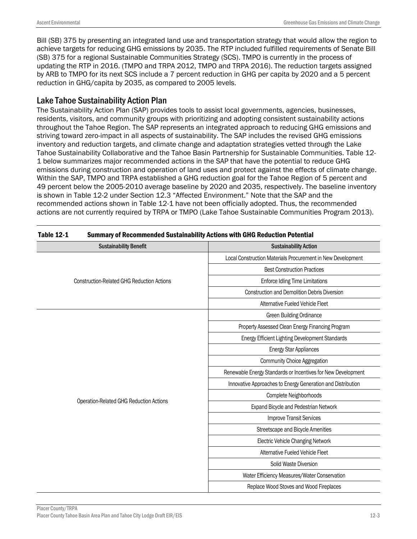Bill (SB) 375 by presenting an integrated land use and transportation strategy that would allow the region to achieve targets for reducing GHG emissions by 2035. The RTP included fulfilled requirements of Senate Bill (SB) 375 for a regional Sustainable Communities Strategy (SCS). TMPO is currently in the process of updating the RTP in 2016. (TMPO and TRPA 2012, TMPO and TRPA 2016). The reduction targets assigned by ARB to TMPO for its next SCS include a 7 percent reduction in GHG per capita by 2020 and a 5 percent reduction in GHG/capita by 2035, as compared to 2005 levels.

## Lake Tahoe Sustainability Action Plan

The Sustainability Action Plan (SAP) provides tools to assist local governments, agencies, businesses, residents, visitors, and community groups with prioritizing and adopting consistent sustainability actions throughout the Tahoe Region. The SAP represents an integrated approach to reducing GHG emissions and striving toward zero-impact in all aspects of sustainability. The SAP includes the revised GHG emissions inventory and reduction targets, and climate change and adaptation strategies vetted through the Lake Tahoe Sustainability Collaborative and the Tahoe Basin Partnership for Sustainable Communities. Table 12- 1 below summarizes major recommended actions in the SAP that have the potential to reduce GHG emissions during construction and operation of land uses and protect against the effects of climate change. Within the SAP, TMPO and TRPA established a GHG reduction goal for the Tahoe Region of 5 percent and 49 percent below the 2005-2010 average baseline by 2020 and 2035, respectively. The baseline inventory is shown in Table 12-2 under Section 12.3 "Affected Environment." Note that the SAP and the recommended actions shown in Table 12-1 have not been officially adopted. Thus, the recommended actions are not currently required by TRPA or TMPO (Lake Tahoe Sustainable Communities Program 2013).

| <b>Sustainability Benefit</b>                     | <b>Sustainability Action</b>                                 |
|---------------------------------------------------|--------------------------------------------------------------|
|                                                   |                                                              |
|                                                   | Local Construction Materials Procurement in New Development  |
| <b>Construction-Related GHG Reduction Actions</b> | <b>Best Construction Practices</b>                           |
|                                                   | <b>Enforce Idling Time Limitations</b>                       |
|                                                   | <b>Construction and Demolition Debris Diversion</b>          |
|                                                   | Alternative Fueled Vehicle Fleet                             |
|                                                   | Green Building Ordinance                                     |
|                                                   | Property Assessed Clean Energy Financing Program             |
|                                                   | Energy Efficient Lighting Development Standards              |
|                                                   | <b>Energy Star Appliances</b>                                |
|                                                   | Community Choice Aggregation                                 |
|                                                   | Renewable Energy Standards or Incentives for New Development |
|                                                   | Innovative Approaches to Energy Generation and Distribution  |
|                                                   | Complete Neighborhoods                                       |
| Operation-Related GHG Reduction Actions           | Expand Bicycle and Pedestrian Network                        |
|                                                   | Improve Transit Services                                     |
|                                                   | Streetscape and Bicycle Amenities                            |
|                                                   | <b>Electric Vehicle Changing Network</b>                     |
|                                                   | Alternative Fueled Vehicle Fleet                             |
|                                                   | Solid Waste Diversion                                        |
|                                                   | Water Efficiency Measures/Water Conservation                 |
|                                                   | Replace Wood Stoves and Wood Fireplaces                      |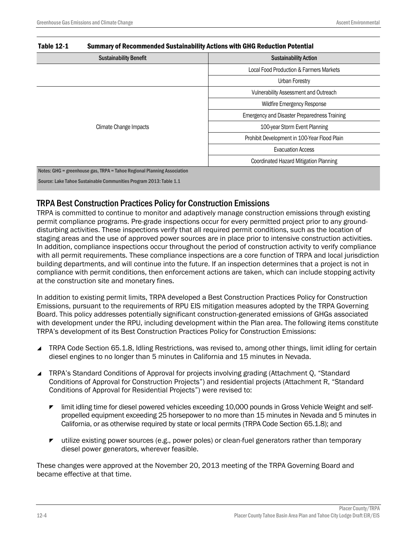| <b>Sustainability Benefit</b> | <b>Sustainability Action</b>                        |
|-------------------------------|-----------------------------------------------------|
|                               | Local Food Production & Farmers Markets             |
|                               | Urban Forestry                                      |
|                               | Vulnerability Assessment and Outreach               |
|                               | Wildfire Emergency Response                         |
|                               | <b>Emergency and Disaster Preparedness Training</b> |
| Climate Change Impacts        | 100-year Storm Event Planning                       |
|                               | Prohibit Development in 100-Year Flood Plain        |
|                               | <b>Evacuation Access</b>                            |
|                               | Coordinated Hazard Mitigation Planning              |

#### Table 12-1 Summary of Recommended Sustainability Actions with GHG Reduction Potential

Notes: GHG = greenhouse gas, TRPA = Tahoe Regional Planning Association

Source: Lake Tahoe Sustainable Communities Program 2013: Table 1.1

### TRPA Best Construction Practices Policy for Construction Emissions

TRPA is committed to continue to monitor and adaptively manage construction emissions through existing permit compliance programs. Pre-grade inspections occur for every permitted project prior to any grounddisturbing activities. These inspections verify that all required permit conditions, such as the location of staging areas and the use of approved power sources are in place prior to intensive construction activities. In addition, compliance inspections occur throughout the period of construction activity to verify compliance with all permit requirements. These compliance inspections are a core function of TRPA and local jurisdiction building departments, and will continue into the future. If an inspection determines that a project is not in compliance with permit conditions, then enforcement actions are taken, which can include stopping activity at the construction site and monetary fines.

In addition to existing permit limits, TRPA developed a Best Construction Practices Policy for Construction Emissions, pursuant to the requirements of RPU EIS mitigation measures adopted by the TRPA Governing Board. This policy addresses potentially significant construction-generated emissions of GHGs associated with development under the RPU, including development within the Plan area. The following items constitute TRPA's development of its Best Construction Practices Policy for Construction Emissions:

- TRPA Code Section 65.1.8, Idling Restrictions, was revised to, among other things, limit idling for certain diesel engines to no longer than 5 minutes in California and 15 minutes in Nevada.
- TRPA's Standard Conditions of Approval for projects involving grading (Attachment Q, "Standard Conditions of Approval for Construction Projects") and residential projects (Attachment R, "Standard Conditions of Approval for Residential Projects") were revised to:
	- **F** limit idling time for diesel powered vehicles exceeding 10,000 pounds in Gross Vehicle Weight and selfpropelled equipment exceeding 25 horsepower to no more than 15 minutes in Nevada and 5 minutes in California, or as otherwise required by state or local permits (TRPA Code Section 65.1.8); and
	- $\blacktriangleright$  utilize existing power sources (e.g., power poles) or clean-fuel generators rather than temporary diesel power generators, wherever feasible.

These changes were approved at the November 20, 2013 meeting of the TRPA Governing Board and became effective at that time.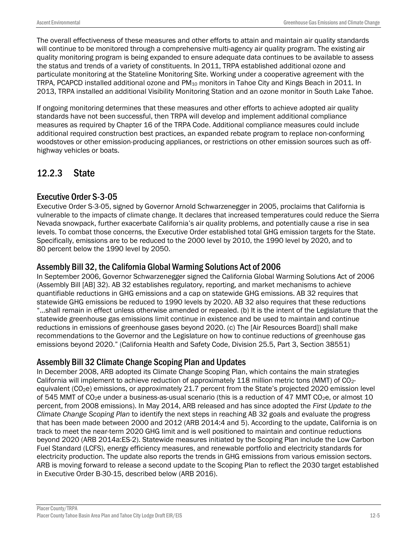The overall effectiveness of these measures and other efforts to attain and maintain air quality standards will continue to be monitored through a comprehensive multi-agency air quality program. The existing air quality monitoring program is being expanded to ensure adequate data continues to be available to assess the status and trends of a variety of constituents. In 2011, TRPA established additional ozone and particulate monitoring at the Stateline Monitoring Site. Working under a cooperative agreement with the TRPA, PCAPCD installed additional ozone and PM<sub>10</sub> monitors in Tahoe City and Kings Beach in 2011. In 2013, TRPA installed an additional Visibility Monitoring Station and an ozone monitor in South Lake Tahoe.

If ongoing monitoring determines that these measures and other efforts to achieve adopted air quality standards have not been successful, then TRPA will develop and implement additional compliance measures as required by Chapter 16 of the TRPA Code. Additional compliance measures could include additional required construction best practices, an expanded rebate program to replace non-conforming woodstoves or other emission-producing appliances, or restrictions on other emission sources such as offhighway vehicles or boats.

# 12.2.3 State

## Executive Order S-3-05

Executive Order S-3-05, signed by Governor Arnold Schwarzenegger in 2005, proclaims that California is vulnerable to the impacts of climate change. It declares that increased temperatures could reduce the Sierra Nevada snowpack, further exacerbate California's air quality problems, and potentially cause a rise in sea levels. To combat those concerns, the Executive Order established total GHG emission targets for the State. Specifically, emissions are to be reduced to the 2000 level by 2010, the 1990 level by 2020, and to 80 percent below the 1990 level by 2050.

## Assembly Bill 32, the California Global Warming Solutions Act of 2006

In September 2006, Governor Schwarzenegger signed the California Global Warming Solutions Act of 2006 (Assembly Bill [AB] 32). AB 32 establishes regulatory, reporting, and market mechanisms to achieve quantifiable reductions in GHG emissions and a cap on statewide GHG emissions. AB 32 requires that statewide GHG emissions be reduced to 1990 levels by 2020. AB 32 also requires that these reductions "…shall remain in effect unless otherwise amended or repealed. (b) It is the intent of the Legislature that the statewide greenhouse gas emissions limit continue in existence and be used to maintain and continue reductions in emissions of greenhouse gases beyond 2020. (c) The [Air Resources Board]) shall make recommendations to the Governor and the Legislature on how to continue reductions of greenhouse gas emissions beyond 2020." (California Health and Safety Code, Division 25.5, Part 3, Section 38551)

# Assembly Bill 32 Climate Change Scoping Plan and Updates

In December 2008, ARB adopted its Climate Change Scoping Plan, which contains the main strategies California will implement to achieve reduction of approximately 118 million metric tons (MMT) of CO2 equivalent (CO2e) emissions, or approximately 21.7 percent from the State's projected 2020 emission level of 545 MMT of  $CO<sub>2</sub>e$  under a business-as-usual scenario (this is a reduction of 47 MMT CO<sub>2</sub>e, or almost 10 percent, from 2008 emissions). In May 2014, ARB released and has since adopted the *First Update to the Climate Change Scoping Plan* to identify the next steps in reaching AB 32 goals and evaluate the progress that has been made between 2000 and 2012 (ARB 2014:4 and 5). According to the update, California is on track to meet the near-term 2020 GHG limit and is well positioned to maintain and continue reductions beyond 2020 (ARB 2014a:ES-2). Statewide measures initiated by the Scoping Plan include the Low Carbon Fuel Standard (LCFS), energy efficiency measures, and renewable portfolio and electricity standards for electricity production. The update also reports the trends in GHG emissions from various emission sectors. ARB is moving forward to release a second update to the Scoping Plan to reflect the 2030 target established in Executive Order B-30-15, described below (ARB 2016).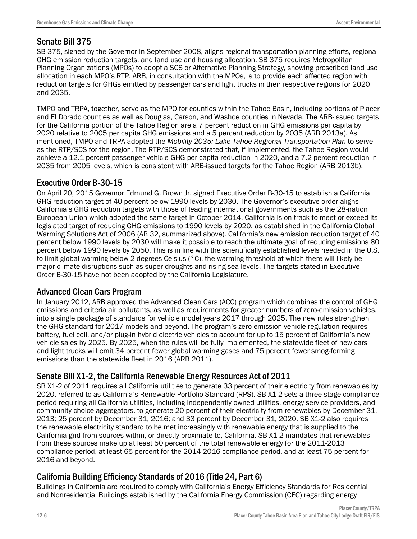## Senate Bill 375

SB 375, signed by the Governor in September 2008, aligns regional transportation planning efforts, regional GHG emission reduction targets, and land use and housing allocation. SB 375 requires Metropolitan Planning Organizations (MPOs) to adopt a SCS or Alternative Planning Strategy, showing prescribed land use allocation in each MPO's RTP. ARB, in consultation with the MPOs, is to provide each affected region with reduction targets for GHGs emitted by passenger cars and light trucks in their respective regions for 2020 and 2035.

TMPO and TRPA, together, serve as the MPO for counties within the Tahoe Basin, including portions of Placer and El Dorado counties as well as Douglas, Carson, and Washoe counties in Nevada. The ARB-issued targets for the California portion of the Tahoe Region are a 7 percent reduction in GHG emissions per capita by 2020 relative to 2005 per capita GHG emissions and a 5 percent reduction by 2035 (ARB 2013a). As mentioned, TMPO and TRPA adopted the *Mobility 2035: Lake Tahoe Regional Transportation Plan* to serve as the RTP/SCS for the region. The RTP/SCS demonstrated that, if implemented, the Tahoe Region would achieve a 12.1 percent passenger vehicle GHG per capita reduction in 2020, and a 7.2 percent reduction in 2035 from 2005 levels, which is consistent with ARB-issued targets for the Tahoe Region (ARB 2013b).

### Executive Order B-30-15

On April 20, 2015 Governor Edmund G. Brown Jr. signed Executive Order B-30-15 to establish a California GHG reduction target of 40 percent below 1990 levels by 2030. The Governor's executive order aligns California's GHG reduction targets with those of leading international governments such as the 28-nation European Union which adopted the same target in October 2014. California is on track to meet or exceed its legislated target of reducing GHG emissions to 1990 levels by 2020, as established in the California Global Warming Solutions Act of 2006 (AB 32, summarized above). California's new emission reduction target of 40 percent below 1990 levels by 2030 will make it possible to reach the ultimate goal of reducing emissions 80 percent below 1990 levels by 2050. This is in line with the scientifically established levels needed in the U.S. to limit global warming below 2 degrees Celsius (°C), the warming threshold at which there will likely be major climate disruptions such as super droughts and rising sea levels. The targets stated in Executive Order B-30-15 have not been adopted by the California Legislature.

## Advanced Clean Cars Program

In January 2012, ARB approved the Advanced Clean Cars (ACC) program which combines the control of GHG emissions and criteria air pollutants, as well as requirements for greater numbers of zero-emission vehicles, into a single package of standards for vehicle model years 2017 through 2025. The new rules strengthen the GHG standard for 2017 models and beyond. The program's zero-emission vehicle regulation requires battery, fuel cell, and/or plug-in hybrid electric vehicles to account for up to 15 percent of California's new vehicle sales by 2025. By 2025, when the rules will be fully implemented, the statewide fleet of new cars and light trucks will emit 34 percent fewer global warming gases and 75 percent fewer smog-forming emissions than the statewide fleet in 2016 (ARB 2011).

## Senate Bill X1-2, the California Renewable Energy Resources Act of 2011

SB X1-2 of 2011 requires all California utilities to generate 33 percent of their electricity from renewables by 2020, referred to as California's Renewable Portfolio Standard (RPS). SB X1-2 sets a three-stage compliance period requiring all California utilities, including independently owned utilities, energy service providers, and community choice aggregators, to generate 20 percent of their electricity from renewables by December 31, 2013; 25 percent by December 31, 2016; and 33 percent by December 31, 2020. SB X1-2 also requires the renewable electricity standard to be met increasingly with renewable energy that is supplied to the California grid from sources within, or directly proximate to, California. SB X1-2 mandates that renewables from these sources make up at least 50 percent of the total renewable energy for the 2011-2013 compliance period, at least 65 percent for the 2014-2016 compliance period, and at least 75 percent for 2016 and beyond.

## California Building Efficiency Standards of 2016 (Title 24, Part 6)

Buildings in California are required to comply with California's Energy Efficiency Standards for Residential and Nonresidential Buildings established by the California Energy Commission (CEC) regarding energy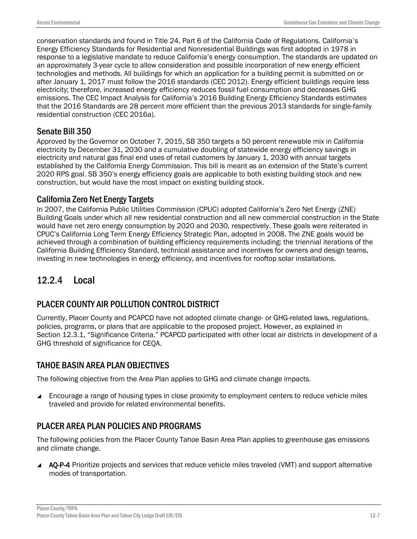conservation standards and found in Title 24, Part 6 of the California Code of Regulations. California's Energy Efficiency Standards for Residential and Nonresidential Buildings was first adopted in 1978 in response to a legislative mandate to reduce California's energy consumption. The standards are updated on an approximately 3-year cycle to allow consideration and possible incorporation of new energy efficient technologies and methods. All buildings for which an application for a building permit is submitted on or after January 1, 2017 must follow the 2016 standards (CEC 2012). Energy efficient buildings require less electricity; therefore, increased energy efficiency reduces fossil fuel consumption and decreases GHG emissions. The CEC Impact Analysis for California's 2016 Building Energy Efficiency Standards estimates that the 2016 Standards are 28 percent more efficient than the previous 2013 standards for single-family residential construction (CEC 2016a).

## Senate Bill 350

Approved by the Governor on October 7, 2015, SB 350 targets a 50 percent renewable mix in California electricity by December 31, 2030 and a cumulative doubling of statewide energy efficiency savings in electricity and natural gas final end uses of retail customers by January 1, 2030 with annual targets established by the California Energy Commission. This bill is meant as an extension of the State's current 2020 RPS goal. SB 350's energy efficiency goals are applicable to both existing building stock and new construction, but would have the most impact on existing building stock.

## California Zero Net Energy Targets

In 2007, the California Public Utilities Commission (CPUC) adopted California's Zero Net Energy (ZNE) Building Goals under which all new residential construction and all new commercial construction in the State would have net zero energy consumption by 2020 and 2030, respectively. These goals were reiterated in CPUC's California Long Term Energy Efficiency Strategic Plan, adopted in 2008. The ZNE goals would be achieved through a combination of building efficiency requirements including: the triennial iterations of the California Building Efficiency Standard, technical assistance and incentives for owners and design teams, investing in new technologies in energy efficiency, and incentives for rooftop solar installations.

# 12.2.4 Local

# PLACER COUNTY AIR POLLUTION CONTROL DISTRICT

Currently, Placer County and PCAPCD have not adopted climate change- or GHG-related laws, regulations, policies, programs, or plans that are applicable to the proposed project. However, as explained in Section 12.3.1, "Significance Criteria," PCAPCD participated with other local air districts in development of a GHG threshold of significance for CEQA.

# TAHOE BASIN AREA PLAN OBJECTIVES

The following objective from the Area Plan applies to GHG and climate change impacts.

▲ Encourage a range of housing types in close proximity to employment centers to reduce vehicle miles traveled and provide for related environmental benefits.

# PLACER AREA PLAN POLICIES AND PROGRAMS

The following policies from the Placer County Tahoe Basin Area Plan applies to greenhouse gas emissions and climate change.

AQ-P-4 Prioritize projects and services that reduce vehicle miles traveled (VMT) and support alternative modes of transportation.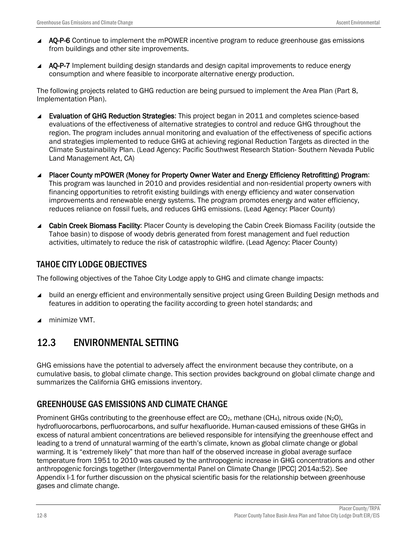- ▲ AQ-P-6 Continue to implement the mPOWER incentive program to reduce greenhouse gas emissions from buildings and other site improvements.
- AQ-P-7 Implement building design standards and design capital improvements to reduce energy consumption and where feasible to incorporate alternative energy production.

The following projects related to GHG reduction are being pursued to implement the Area Plan (Part 8, Implementation Plan).

- Evaluation of GHG Reduction Strategies: This project began in 2011 and completes science-based evaluations of the effectiveness of alternative strategies to control and reduce GHG throughout the region. The program includes annual monitoring and evaluation of the effectiveness of specific actions and strategies implemented to reduce GHG at achieving regional Reduction Targets as directed in the Climate Sustainability Plan. (Lead Agency: Pacific Southwest Research Station- Southern Nevada Public Land Management Act, CA)
- ▲ Placer County mPOWER (Money for Property Owner Water and Energy Efficiency Retrofitting) Program: This program was launched in 2010 and provides residential and non-residential property owners with financing opportunities to retrofit existing buildings with energy efficiency and water conservation improvements and renewable energy systems. The program promotes energy and water efficiency, reduces reliance on fossil fuels, and reduces GHG emissions. (Lead Agency: Placer County)
- Cabin Creek Biomass Facility: Placer County is developing the Cabin Creek Biomass Facility (outside the Tahoe basin) to dispose of woody debris generated from forest management and fuel reduction activities, ultimately to reduce the risk of catastrophic wildfire. (Lead Agency: Placer County)

## TAHOE CITY LODGE OBJECTIVES

The following objectives of the Tahoe City Lodge apply to GHG and climate change impacts:

- build an energy efficient and environmentally sensitive project using Green Building Design methods and features in addition to operating the facility according to green hotel standards; and
- minimize VMT.

# 12.3 ENVIRONMENTAL SETTING

GHG emissions have the potential to adversely affect the environment because they contribute, on a cumulative basis, to global climate change. This section provides background on global climate change and summarizes the California GHG emissions inventory.

## GREENHOUSE GAS EMISSIONS AND CLIMATE CHANGE

Prominent GHGs contributing to the greenhouse effect are  $CO<sub>2</sub>$ , methane (CH<sub>4</sub>), nitrous oxide (N<sub>2</sub>O), hydrofluorocarbons, perfluorocarbons, and sulfur hexafluoride. Human-caused emissions of these GHGs in excess of natural ambient concentrations are believed responsible for intensifying the greenhouse effect and leading to a trend of unnatural warming of the earth's climate, known as global climate change or global warming. It is "extremely likely" that more than half of the observed increase in global average surface temperature from 1951 to 2010 was caused by the anthropogenic increase in GHG concentrations and other anthropogenic forcings together (Intergovernmental Panel on Climate Change [IPCC] 2014a:52). See Appendix I-1 for further discussion on the physical scientific basis for the relationship between greenhouse gases and climate change.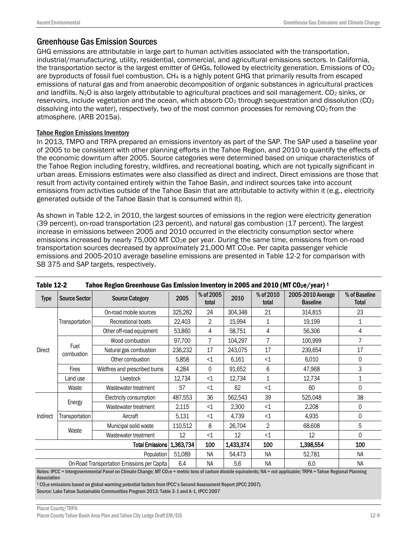## Greenhouse Gas Emission Sources

GHG emissions are attributable in large part to human activities associated with the transportation, industrial/manufacturing, utility, residential, commercial, and agricultural emissions sectors. In California, the transportation sector is the largest emitter of GHGs, followed by electricity generation. Emissions of  $CO<sub>2</sub>$ are byproducts of fossil fuel combustion. CH<sup>4</sup> is a highly potent GHG that primarily results from escaped emissions of natural gas and from anaerobic decomposition of organic substances in agricultural practices and landfills. N<sub>2</sub>O is also largely attributable to agricultural practices and soil management. CO<sub>2</sub> sinks, or reservoirs, include vegetation and the ocean, which absorb  $CO<sub>2</sub>$  through sequestration and dissolution ( $CO<sub>2</sub>$ dissolving into the water), respectively, two of the most common processes for removing CO<sub>2</sub> from the atmosphere. (ARB 2015a).

### Tahoe Region Emissions Inventory

In 2013, TMPO and TRPA prepared an emissions inventory as part of the SAP. The SAP used a baseline year of 2005 to be consistent with other planning efforts in the Tahoe Region, and 2010 to quantify the effects of the economic downturn after 2005. Source categories were determined based on unique characteristics of the Tahoe Region including forestry, wildfires, and recreational boating, which are not typically significant in urban areas. Emissions estimates were also classified as direct and indirect. Direct emissions are those that result from activity contained entirely within the Tahoe Basin, and indirect sources take into account emissions from activities outside of the Tahoe Basin that are attributable to activity within it (e.g., electricity generated outside of the Tahoe Basin that is consumed within it).

As shown in Table 12-2, in 2010, the largest sources of emissions in the region were electricity generation (39 percent), on-road transportation (23 percent), and natural gas combustion (17 percent). The largest increase in emissions between 2005 and 2010 occurred in the electricity consumption sector where emissions increased by nearly 75,000 MT  $CO<sub>2</sub>e$  per year. During the same time, emissions from on-road transportation sources decreased by approximately  $21,000$  MT CO<sub>2</sub>e. Per capita passenger vehicle emissions and 2005-2010 average baseline emissions are presented in Table 12-2 for comparison with SB 375 and SAP targets, respectively.

| Table 12-2           |                                       |         |                                                                       |           |                    |                                      |                                                                                     |
|----------------------|---------------------------------------|---------|-----------------------------------------------------------------------|-----------|--------------------|--------------------------------------|-------------------------------------------------------------------------------------|
| <b>Source Sector</b> | <b>Source Category</b>                | 2005    | total                                                                 | 2010      | % of 2010<br>total | 2005-2010 Average<br><b>Baseline</b> | % of Baseline<br><b>Total</b>                                                       |
|                      | On-road mobile sources                | 325,282 | 24                                                                    | 304,348   | 21                 | 314,815                              | 23                                                                                  |
| Transportation       | Recreational boats                    | 22,403  | $\overline{2}$                                                        | 15,994    | 1                  | 19,199                               | 1                                                                                   |
|                      | Other off-road equipment              | 53,860  | 4                                                                     | 58,751    | 4                  | 56,306                               | 4                                                                                   |
|                      | Wood combustion                       | 97,700  | $\overline{7}$                                                        | 104,297   | 7                  | 100,999                              | 7                                                                                   |
|                      | Natural gas combustion                | 236,232 | 17                                                                    | 243,075   | 17                 | 239,654                              | 17                                                                                  |
|                      | Other combustion                      | 5,858   | $<$ 1                                                                 | 6,161     | $<$ 1              | 6.010                                | 0                                                                                   |
| <b>Fires</b>         | Wildfires and prescribed burns        | 4,284   | 0                                                                     | 91,652    | 6                  | 47,968                               | 3                                                                                   |
| Land use             | Livestock                             | 12,734  | $\leq$ 1                                                              | 12,734    | 1                  | 12,734                               | 1                                                                                   |
| Waste                | Wastewater treatment                  | 57      | $<$ 1                                                                 | 62        | $\leq$ 1           | 60                                   | 0                                                                                   |
|                      | Electricity consumption               | 487,553 | 36                                                                    | 562,543   | 39                 | 525,048                              | 38                                                                                  |
|                      | Wastewater treatment                  | 2,115   | $<$ 1                                                                 | 2,300     | $\leq$ 1           | 2,208                                | 0                                                                                   |
| Transportation       | Aircraft                              | 5,131   | $\leq$                                                                | 4,739     | $\leq$ 1           | 4,935                                | 0                                                                                   |
|                      | Municipal solid waste                 | 110,512 | 8                                                                     | 26,704    | $\overline{2}$     | 68,608                               | 5                                                                                   |
|                      | Wastewater treatment                  | 12      | <1                                                                    | 12        | <1                 | 12                                   | 0                                                                                   |
|                      |                                       |         | 100                                                                   | 1,433,374 | 100                | 1,398,554                            | 100                                                                                 |
|                      | Population                            | 51,089  | <b>NA</b>                                                             | 54,473    | <b>NA</b>          | 52,781                               | <b>NA</b>                                                                           |
|                      |                                       | 6.4     | <b>NA</b>                                                             | 5.6       | <b>NA</b>          | 6.0                                  | <b>NA</b>                                                                           |
|                      | Fuel<br>combustion<br>Energy<br>Waste |         | <b>Total Emissions</b><br>On-Road Transportation Emissions per Capita | 1,363,734 | % of 2005          |                                      | Tanoe Region Greenhouse Gas Emission Inventory in 2005 and 2010 (IVIT CO2E/ Year) + |

### Table 12-2 Tahoe Region Greenhouse Gas Emission Inventory in 2005 and 2010 (MT CO2e/year) <sup>1</sup>

Notes: IPCC = Intergovernmental Panel on Climate Change; MT CO<sub>2</sub>e = metric tons of carbon dioxide equivalents; NA = not applicable; TRPA = Tahoe Regional Planning Association

<sup>1</sup> CO2e emissions based on global warming potential factors from IPCC's Second Assessment Report (IPCC 2007).

Source: Lake Tahoe Sustainable Communities Program 2013: Table 3-1 and A-1, IPCC 2007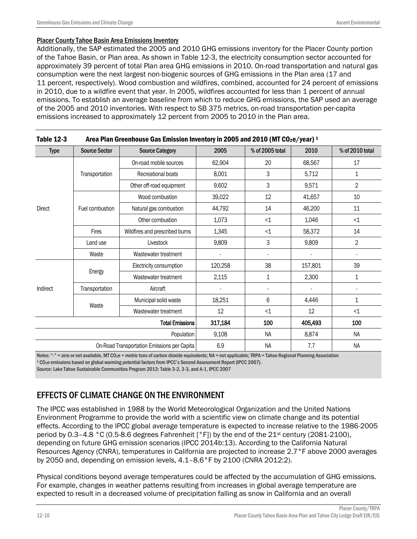### Placer County Tahoe Basin Area Emissions Inventory

Additionally, the SAP estimated the 2005 and 2010 GHG emissions inventory for the Placer County portion of the Tahoe Basin, or Plan area. As shown in Table 12-3, the electricity consumption sector accounted for approximately 39 percent of total Plan area GHG emissions in 2010. On-road transportation and natural gas consumption were the next largest non-biogenic sources of GHG emissions in the Plan area (17 and 11 percent, respectively). Wood combustion and wildfires, combined, accounted for 24 percent of emissions in 2010, due to a wildfire event that year. In 2005, wildfires accounted for less than 1 percent of annual emissions. To establish an average baseline from which to reduce GHG emissions, the SAP used an average of the 2005 and 2010 inventories. With respect to SB 375 metrics, on-road transportation per-capita emissions increased to approximately 12 percent from 2005 to 2010 in the Plan area.

| <b>Table 12-3</b> | Area Plan Greenhouse Gas Emission Inventory in 2005 and 2010 (MT CO2e/year) 1 |                                             |         |                 |                |                          |
|-------------------|-------------------------------------------------------------------------------|---------------------------------------------|---------|-----------------|----------------|--------------------------|
| <b>Type</b>       | <b>Source Sector</b>                                                          | <b>Source Category</b>                      | 2005    | % of 2005 total | 2010           | % of 2010 total          |
|                   |                                                                               | On-road mobile sources                      | 62,904  | 20              | 68,567         | 17                       |
|                   | Transportation                                                                | Recreational boats                          | 8,001   | 3               | 5,712          | 1                        |
|                   |                                                                               | Other off-road equipment                    | 9,602   | 3               | 9,571          | 2                        |
|                   |                                                                               | Wood combustion                             | 39,022  | 12              | 41,657         | 10                       |
| <b>Direct</b>     | Fuel combustion                                                               | Natural gas combustion                      | 44,792  | 14              | 46,200         | 11                       |
|                   |                                                                               | Other combustion                            | 1,073   | <1              | 1,046          | $\leq$ 1                 |
| <b>Fires</b>      |                                                                               | Wildfires and prescribed burns              | 1,345   | <1              | 58,372         | 14                       |
| Land use          | Livestock                                                                     | 9,809                                       | 3       | 9,809           | $\overline{2}$ |                          |
|                   | Waste                                                                         | Wastewater treatment                        |         | $\blacksquare$  |                | $\overline{\phantom{a}}$ |
|                   |                                                                               | Electricity consumption                     | 120,258 | 38              | 157,801        | 39                       |
|                   | Energy                                                                        | Wastewater treatment                        | 2,115   | 1               | 2,300          | 1                        |
| Indirect          | Transportation                                                                | Aircraft                                    |         |                 |                |                          |
|                   |                                                                               | Municipal solid waste                       | 18,251  | 6               | 4,446          | 1                        |
| Waste             |                                                                               | Wastewater treatment                        | 12      | $<$ 1           | 12             | $<$ 1                    |
|                   |                                                                               | <b>Total Emissions</b>                      | 317,184 | 100             | 405,493        | 100                      |
|                   |                                                                               | Population                                  | 9,108   | <b>NA</b>       | 8,874          | <b>NA</b>                |
|                   |                                                                               | On-Road Transportation Emissions per Capita | 6.9     | <b>NA</b>       | 7.7            | NA                       |

Notes: "-" = zero or not available, MT CO<sub>2</sub>e = metric tons of carbon dioxide equivalents; NA = not applicable; TRPA = Tahoe Regional Planning Association

<sup>1</sup> CO2e emissions based on global warming potential factors from IPCC's Second Assessment Report (IPCC 2007).

Source: Lake Tahoe Sustainable Communities Program 2013: Table 3-2, 3-3, and A-1, IPCC 2007

# EFFECTS OF CLIMATE CHANGE ON THE ENVIRONMENT

The IPCC was established in 1988 by the World Meteorological Organization and the United Nations Environment Programme to provide the world with a scientific view on climate change and its potential effects. According to the IPCC global average temperature is expected to increase relative to the 1986-2005 period by 0.3-4.8 °C (0.5-8.6 degrees Fahrenheit [°F]) by the end of the 21<sup>st</sup> century (2081-2100), depending on future GHG emission scenarios (IPCC 2014b:13). According to the California Natural Resources Agency (CNRA), temperatures in California are projected to increase 2.7°F above 2000 averages by 2050 and, depending on emission levels, 4.1–8.6°F by 2100 (CNRA 2012:2).

Physical conditions beyond average temperatures could be affected by the accumulation of GHG emissions. For example, changes in weather patterns resulting from increases in global average temperature are expected to result in a decreased volume of precipitation falling as snow in California and an overall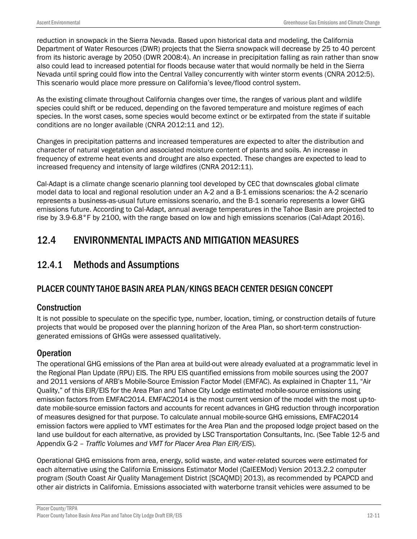reduction in snowpack in the Sierra Nevada. Based upon historical data and modeling, the California Department of Water Resources (DWR) projects that the Sierra snowpack will decrease by 25 to 40 percent from its historic average by 2050 (DWR 2008:4). An increase in precipitation falling as rain rather than snow also could lead to increased potential for floods because water that would normally be held in the Sierra Nevada until spring could flow into the Central Valley concurrently with winter storm events (CNRA 2012:5). This scenario would place more pressure on California's levee/flood control system.

As the existing climate throughout California changes over time, the ranges of various plant and wildlife species could shift or be reduced, depending on the favored temperature and moisture regimes of each species. In the worst cases, some species would become extinct or be extirpated from the state if suitable conditions are no longer available (CNRA 2012:11 and 12).

Changes in precipitation patterns and increased temperatures are expected to alter the distribution and character of natural vegetation and associated moisture content of plants and soils. An increase in frequency of extreme heat events and drought are also expected. These changes are expected to lead to increased frequency and intensity of large wildfires (CNRA 2012:11).

Cal-Adapt is a climate change scenario planning tool developed by CEC that downscales global climate model data to local and regional resolution under an A-2 and a B-1 emissions scenarios: the A-2 scenario represents a business-as-usual future emissions scenario, and the B-1 scenario represents a lower GHG emissions future. According to Cal-Adapt, annual average temperatures in the Tahoe Basin are projected to rise by 3.9-6.8°F by 2100, with the range based on low and high emissions scenarios (Cal-Adapt 2016).

# 12.4 ENVIRONMENTAL IMPACTS AND MITIGATION MEASURES

# 12.4.1 Methods and Assumptions

# PLACER COUNTY TAHOE BASIN AREA PLAN/KINGS BEACH CENTER DESIGN CONCEPT

# **Construction**

It is not possible to speculate on the specific type, number, location, timing, or construction details of future projects that would be proposed over the planning horizon of the Area Plan, so short-term constructiongenerated emissions of GHGs were assessed qualitatively.

# **Operation**

The operational GHG emissions of the Plan area at build-out were already evaluated at a programmatic level in the Regional Plan Update (RPU) EIS. The RPU EIS quantified emissions from mobile sources using the 2007 and 2011 versions of ARB's Mobile-Source Emission Factor Model (EMFAC). As explained in Chapter 11, "Air Quality," of this EIR/EIS for the Area Plan and Tahoe City Lodge estimated mobile-source emissions using emission factors from EMFAC2014. EMFAC2014 is the most current version of the model with the most up-todate mobile-source emission factors and accounts for recent advances in GHG reduction through incorporation of measures designed for that purpose. To calculate annual mobile-source GHG emissions, EMFAC2014 emission factors were applied to VMT estimates for the Area Plan and the proposed lodge project based on the land use buildout for each alternative, as provided by LSC Transportation Consultants, Inc. (See Table 12-5 and Appendix G-2 – *Traffic Volumes and VMT for Placer Area Plan EIR/EIS*).

Operational GHG emissions from area, energy, solid waste, and water-related sources were estimated for each alternative using the California Emissions Estimator Model (CalEEMod) Version 2013.2.2 computer program (South Coast Air Quality Management District [SCAQMD] 2013), as recommended by PCAPCD and other air districts in California. Emissions associated with waterborne transit vehicles were assumed to be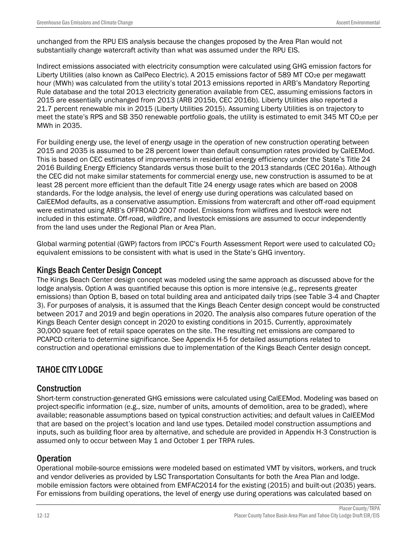unchanged from the RPU EIS analysis because the changes proposed by the Area Plan would not substantially change watercraft activity than what was assumed under the RPU EIS.

Indirect emissions associated with electricity consumption were calculated using GHG emission factors for Liberty Utilities (also known as CalPeco Electric). A 2015 emissions factor of 589 MT CO<sub>2</sub>e per megawatt hour (MWh) was calculated from the utility's total 2013 emissions reported in ARB's Mandatory Reporting Rule database and the total 2013 electricity generation available from CEC, assuming emissions factors in 2015 are essentially unchanged from 2013 (ARB 2015b, CEC 2016b). Liberty Utilities also reported a 21.7 percent renewable mix in 2015 (Liberty Utilities 2015). Assuming Liberty Utilities is on trajectory to meet the state's RPS and SB 350 renewable portfolio goals, the utility is estimated to emit 345 MT CO<sub>2</sub>e per MWh in 2035.

For building energy use, the level of energy usage in the operation of new construction operating between 2015 and 2035 is assumed to be 28 percent lower than default consumption rates provided by CalEEMod. This is based on CEC estimates of improvements in residential energy efficiency under the State's Title 24 2016 Building Energy Efficiency Standards versus those built to the 2013 standards (CEC 2016a). Although the CEC did not make similar statements for commercial energy use, new construction is assumed to be at least 28 percent more efficient than the default Title 24 energy usage rates which are based on 2008 standards. For the lodge analysis, the level of energy use during operations was calculated based on CalEEMod defaults, as a conservative assumption. Emissions from watercraft and other off-road equipment were estimated using ARB's OFFROAD 2007 model. Emissions from wildfires and livestock were not included in this estimate. Off-road, wildfire, and livestock emissions are assumed to occur independently from the land uses under the Regional Plan or Area Plan.

Global warming potential (GWP) factors from IPCC's Fourth Assessment Report were used to calculated  $CO<sub>2</sub>$ equivalent emissions to be consistent with what is used in the State's GHG inventory.

### Kings Beach Center Design Concept

The Kings Beach Center design concept was modeled using the same approach as discussed above for the lodge analysis. Option A was quantified because this option is more intensive (e.g., represents greater emissions) than Option B, based on total building area and anticipated daily trips (see Table 3-4 and Chapter 3). For purposes of analysis, it is assumed that the Kings Beach Center design concept would be constructed between 2017 and 2019 and begin operations in 2020. The analysis also compares future operation of the Kings Beach Center design concept in 2020 to existing conditions in 2015. Currently, approximately 30,000 square feet of retail space operates on the site. The resulting net emissions are compared to PCAPCD criteria to determine significance. See Appendix H-5 for detailed assumptions related to construction and operational emissions due to implementation of the Kings Beach Center design concept.

## TAHOE CITY LODGE

### **Construction**

Short-term construction-generated GHG emissions were calculated using CalEEMod. Modeling was based on project-specific information (e.g., size, number of units, amounts of demolition, area to be graded), where available; reasonable assumptions based on typical construction activities; and default values in CalEEMod that are based on the project's location and land use types. Detailed model construction assumptions and inputs, such as building floor area by alternative, and schedule are provided in Appendix H-3 Construction is assumed only to occur between May 1 and October 1 per TRPA rules.

## **Operation**

Operational mobile-source emissions were modeled based on estimated VMT by visitors, workers, and truck and vendor deliveries as provided by LSC Transportation Consultants for both the Area Plan and lodge. mobile emission factors were obtained from EMFAC2014 for the existing (2015) and built-out (2035) years. For emissions from building operations, the level of energy use during operations was calculated based on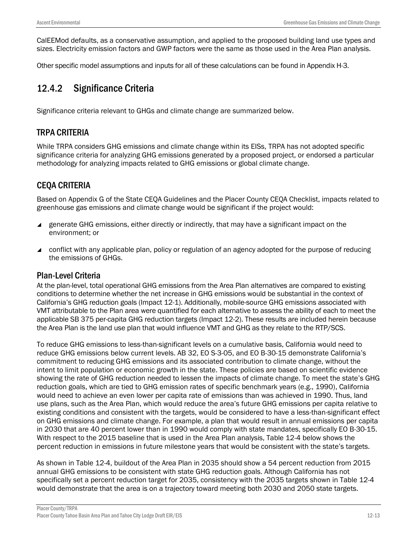CalEEMod defaults, as a conservative assumption, and applied to the proposed building land use types and sizes. Electricity emission factors and GWP factors were the same as those used in the Area Plan analysis.

Other specific model assumptions and inputs for all of these calculations can be found in Appendix H-3.

# 12.4.2 Significance Criteria

Significance criteria relevant to GHGs and climate change are summarized below.

## TRPA CRITERIA

While TRPA considers GHG emissions and climate change within its EISs, TRPA has not adopted specific significance criteria for analyzing GHG emissions generated by a proposed project, or endorsed a particular methodology for analyzing impacts related to GHG emissions or global climate change.

## CEQA CRITERIA

Based on Appendix G of the State CEQA Guidelines and the Placer County CEQA Checklist, impacts related to greenhouse gas emissions and climate change would be significant if the project would:

- **4** generate GHG emissions, either directly or indirectly, that may have a significant impact on the environment; or
- ▲ conflict with any applicable plan, policy or regulation of an agency adopted for the purpose of reducing the emissions of GHGs.

### Plan-Level Criteria

At the plan-level, total operational GHG emissions from the Area Plan alternatives are compared to existing conditions to determine whether the net increase in GHG emissions would be substantial in the context of California's GHG reduction goals (Impact 12-1). Additionally, mobile-source GHG emissions associated with VMT attributable to the Plan area were quantified for each alternative to assess the ability of each to meet the applicable SB 375 per-capita GHG reduction targets (Impact 12-2). These results are included herein because the Area Plan is the land use plan that would influence VMT and GHG as they relate to the RTP/SCS.

To reduce GHG emissions to less-than-significant levels on a cumulative basis, California would need to reduce GHG emissions below current levels. AB 32, EO S-3-05, and EO B-30-15 demonstrate California's commitment to reducing GHG emissions and its associated contribution to climate change, without the intent to limit population or economic growth in the state. These policies are based on scientific evidence showing the rate of GHG reduction needed to lessen the impacts of climate change. To meet the state's GHG reduction goals, which are tied to GHG emission rates of specific benchmark years (e.g., 1990), California would need to achieve an even lower per capita rate of emissions than was achieved in 1990. Thus, land use plans, such as the Area Plan, which would reduce the area's future GHG emissions per capita relative to existing conditions and consistent with the targets, would be considered to have a less-than-significant effect on GHG emissions and climate change. For example, a plan that would result in annual emissions per capita in 2030 that are 40 percent lower than in 1990 would comply with state mandates, specifically EO B-30-15. With respect to the 2015 baseline that is used in the Area Plan analysis, Table 12-4 below shows the percent reduction in emissions in future milestone years that would be consistent with the state's targets.

As shown in Table 12-4, buildout of the Area Plan in 2035 should show a 54 percent reduction from 2015 annual GHG emissions to be consistent with state GHG reduction goals. Although California has not specifically set a percent reduction target for 2035, consistency with the 2035 targets shown in Table 12-4 would demonstrate that the area is on a trajectory toward meeting both 2030 and 2050 state targets.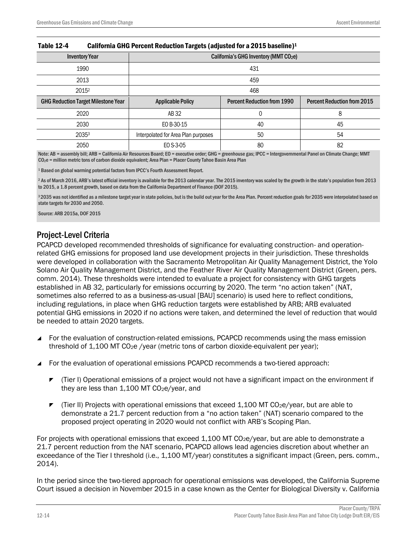| <b>Table 12-4</b> | California GHG Percent Reduction Targets (adjusted for a 2015 baseline) <sup>1</sup> |
|-------------------|--------------------------------------------------------------------------------------|
|-------------------|--------------------------------------------------------------------------------------|

| <b>Inventory Year</b>                      | California's GHG Inventory (MMT CO2e) |                                    |                                    |  |  |
|--------------------------------------------|---------------------------------------|------------------------------------|------------------------------------|--|--|
| 1990                                       |                                       | 431                                |                                    |  |  |
| 2013                                       |                                       | 459                                |                                    |  |  |
| 2015 <sup>2</sup>                          | 468                                   |                                    |                                    |  |  |
| <b>GHG Reduction Target Milestone Year</b> | <b>Applicable Policy</b>              | <b>Percent Reduction from 1990</b> | <b>Percent Reduction from 2015</b> |  |  |
| 2020                                       | AB 32                                 | 0                                  | 8                                  |  |  |
| 2030                                       | EO B-30-15                            | 40                                 | 45                                 |  |  |
| 20353                                      | Interpolated for Area Plan purposes   | 50                                 | 54                                 |  |  |
| 2050                                       | EO S-3-05                             | 80                                 | 82                                 |  |  |

Note: AB = assembly bill; ARB = California Air Resources Board; EO = executive order; GHG = greenhouse gas; IPCC = Intergovernmental Panel on Climate Change; MMT CO2e = million metric tons of carbon dioxide equivalent; Area Plan = Placer County Tahoe Basin Area Plan

<sup>1</sup> Based on global warming potential factors from IPCC's Fourth Assessment Report.

<sup>2</sup> As of March 2016, ARB's latest official inventory is available for the 2013 calendar year. The 2015 inventory was scaled by the growth in the state's population from 2013 to 2015, a 1.8 percent growth, based on data from the California Department of Finance (DOF 2015).

32035 was not identified as a milestone target year in state policies, but is the build out year for the Area Plan. Percent reduction goals for 2035 were interpolated based on state targets for 2030 and 2050.

Source: ARB 2015a, DOF 2015

### Project-Level Criteria

PCAPCD developed recommended thresholds of significance for evaluating construction- and operationrelated GHG emissions for proposed land use development projects in their jurisdiction. These thresholds were developed in collaboration with the Sacramento Metropolitan Air Quality Management District, the Yolo Solano Air Quality Management District, and the Feather River Air Quality Management District (Green, pers. comm. 2014). These thresholds were intended to evaluate a project for consistency with GHG targets established in AB 32, particularly for emissions occurring by 2020. The term "no action taken" (NAT, sometimes also referred to as a business-as-usual [BAU] scenario) is used here to reflect conditions, including regulations, in place when GHG reduction targets were established by ARB; ARB evaluated potential GHG emissions in 2020 if no actions were taken, and determined the level of reduction that would be needed to attain 2020 targets.

- For the evaluation of construction-related emissions, PCAPCD recommends using the mass emission threshold of  $1,100$  MT CO<sub>2</sub>e /year (metric tons of carbon dioxide-equivalent per year);
- For the evaluation of operational emissions PCAPCD recommends a two-tiered approach:
	- $\blacktriangleright$  (Tier I) Operational emissions of a project would not have a significant impact on the environment if they are less than  $1,100$  MT CO<sub>2</sub>e/year, and
	- $\blacktriangleright$  (Tier II) Projects with operational emissions that exceed 1,100 MT CO<sub>2</sub>e/year, but are able to demonstrate a 21.7 percent reduction from a "no action taken" (NAT) scenario compared to the proposed project operating in 2020 would not conflict with ARB's Scoping Plan.

For projects with operational emissions that exceed 1,100 MT CO<sub>2</sub>e/year, but are able to demonstrate a 21.7 percent reduction from the NAT scenario, PCAPCD allows lead agencies discretion about whether an exceedance of the Tier I threshold (i.e., 1,100 MT/year) constitutes a significant impact (Green, pers. comm., 2014).

In the period since the two-tiered approach for operational emissions was developed, the California Supreme Court issued a decision in November 2015 in a case known as the Center for Biological Diversity v. California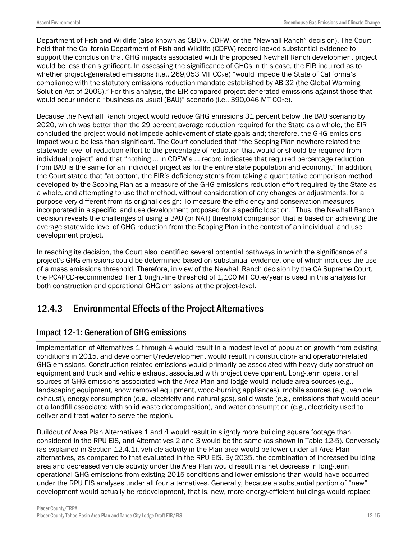Department of Fish and Wildlife (also known as CBD v. CDFW, or the "Newhall Ranch" decision). The Court held that the California Department of Fish and Wildlife (CDFW) record lacked substantial evidence to support the conclusion that GHG impacts associated with the proposed Newhall Ranch development project would be less than significant. In assessing the significance of GHGs in this case, the EIR inquired as to whether project-generated emissions (i.e., 269,053 MT CO<sub>2</sub>e) "would impede the State of California's compliance with the statutory emissions reduction mandate established by AB 32 (the Global Warming Solution Act of 2006)." For this analysis, the EIR compared project-generated emissions against those that would occur under a "business as usual (BAU)" scenario (i.e., 390,046 MT  $CO<sub>2</sub>e$ ).

Because the Newhall Ranch project would reduce GHG emissions 31 percent below the BAU scenario by 2020, which was better than the 29 percent average reduction required for the State as a whole, the EIR concluded the project would not impede achievement of state goals and; therefore, the GHG emissions impact would be less than significant. The Court concluded that "the Scoping Plan nowhere related the statewide level of reduction effort to the percentage of reduction that would or should be required from individual project" and that "nothing … in CDFW's … record indicates that required percentage reduction from BAU is the same for an individual project as for the entire state population and economy." In addition, the Court stated that "at bottom, the EIR's deficiency stems from taking a quantitative comparison method developed by the Scoping Plan as a measure of the GHG emissions reduction effort required by the State as a whole, and attempting to use that method, without consideration of any changes or adjustments, for a purpose very different from its original design: To measure the efficiency and conservation measures incorporated in a specific land use development proposed for a specific location." Thus, the Newhall Ranch decision reveals the challenges of using a BAU (or NAT) threshold comparison that is based on achieving the average statewide level of GHG reduction from the Scoping Plan in the context of an individual land use development project.

In reaching its decision, the Court also identified several potential pathways in which the significance of a project's GHG emissions could be determined based on substantial evidence, one of which includes the use of a mass emissions threshold. Therefore, in view of the Newhall Ranch decision by the CA Supreme Court, the PCAPCD-recommended Tier 1 bright-line threshold of 1,100 MT CO<sub>2</sub>e/year is used in this analysis for both construction and operational GHG emissions at the project-level.

# 12.4.3 Environmental Effects of the Project Alternatives

# Impact 12-1: Generation of GHG emissions

Implementation of Alternatives 1 through 4 would result in a modest level of population growth from existing conditions in 2015, and development/redevelopment would result in construction- and operation-related GHG emissions. Construction-related emissions would primarily be associated with heavy-duty construction equipment and truck and vehicle exhaust associated with project development. Long-term operational sources of GHG emissions associated with the Area Plan and lodge would include area sources (e.g., landscaping equipment, snow removal equipment, wood-burning appliances), mobile sources (e.g., vehicle exhaust), energy consumption (e.g., electricity and natural gas), solid waste (e.g., emissions that would occur at a landfill associated with solid waste decomposition), and water consumption (e.g., electricity used to deliver and treat water to serve the region).

Buildout of Area Plan Alternatives 1 and 4 would result in slightly more building square footage than considered in the RPU EIS, and Alternatives 2 and 3 would be the same (as shown in Table 12-5). Conversely (as explained in Section 12.4.1), vehicle activity in the Plan area would be lower under all Area Plan alternatives, as compared to that evaluated in the RPU EIS. By 2035, the combination of increased building area and decreased vehicle activity under the Area Plan would result in a net decrease in long-term operational GHG emissions from existing 2015 conditions and lower emissions than would have occurred under the RPU EIS analyses under all four alternatives. Generally, because a substantial portion of "new" development would actually be redevelopment, that is, new, more energy-efficient buildings would replace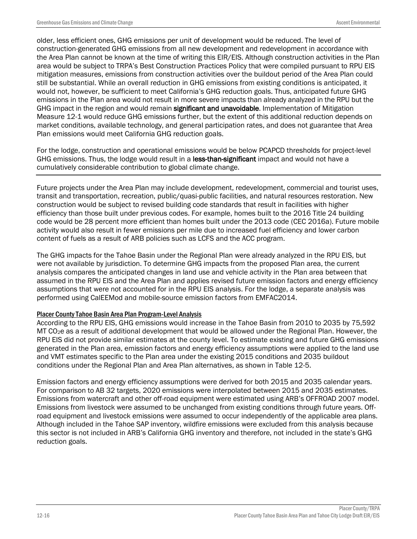older, less efficient ones, GHG emissions per unit of development would be reduced. The level of construction-generated GHG emissions from all new development and redevelopment in accordance with the Area Plan cannot be known at the time of writing this EIR/EIS. Although construction activities in the Plan area would be subject to TRPA's Best Construction Practices Policy that were compiled pursuant to RPU EIS mitigation measures, emissions from construction activities over the buildout period of the Area Plan could still be substantial. While an overall reduction in GHG emissions from existing conditions is anticipated, it would not, however, be sufficient to meet California's GHG reduction goals. Thus, anticipated future GHG emissions in the Plan area would not result in more severe impacts than already analyzed in the RPU but the GHG impact in the region and would remain significant and unavoidable. Implementation of Mitigation Measure 12-1 would reduce GHG emissions further, but the extent of this additional reduction depends on market conditions, available technology, and general participation rates, and does not guarantee that Area Plan emissions would meet California GHG reduction goals.

For the lodge, construction and operational emissions would be below PCAPCD thresholds for project-level GHG emissions. Thus, the lodge would result in a less-than-significant impact and would not have a cumulatively considerable contribution to global climate change.

Future projects under the Area Plan may include development, redevelopment, commercial and tourist uses, transit and transportation, recreation, public/quasi-public facilities, and natural resources restoration. New construction would be subject to revised building code standards that result in facilities with higher efficiency than those built under previous codes. For example, homes built to the 2016 Title 24 building code would be 28 percent more efficient than homes built under the 2013 code (CEC 2016a). Future mobile activity would also result in fewer emissions per mile due to increased fuel efficiency and lower carbon content of fuels as a result of ARB policies such as LCFS and the ACC program.

The GHG impacts for the Tahoe Basin under the Regional Plan were already analyzed in the RPU EIS, but were not available by jurisdiction. To determine GHG impacts from the proposed Plan area, the current analysis compares the anticipated changes in land use and vehicle activity in the Plan area between that assumed in the RPU EIS and the Area Plan and applies revised future emission factors and energy efficiency assumptions that were not accounted for in the RPU EIS analysis. For the lodge, a separate analysis was performed using CalEEMod and mobile-source emission factors from EMFAC2014.

### Placer County Tahoe Basin Area Plan Program-Level Analysis

According to the RPU EIS, GHG emissions would increase in the Tahoe Basin from 2010 to 2035 by 75,592 MT CO2e as a result of additional development that would be allowed under the Regional Plan. However, the RPU EIS did not provide similar estimates at the county level. To estimate existing and future GHG emissions generated in the Plan area, emission factors and energy efficiency assumptions were applied to the land use and VMT estimates specific to the Plan area under the existing 2015 conditions and 2035 buildout conditions under the Regional Plan and Area Plan alternatives, as shown in Table 12-5.

Emission factors and energy efficiency assumptions were derived for both 2015 and 2035 calendar years. For comparison to AB 32 targets, 2020 emissions were interpolated between 2015 and 2035 estimates. Emissions from watercraft and other off-road equipment were estimated using ARB's OFFROAD 2007 model. Emissions from livestock were assumed to be unchanged from existing conditions through future years. Offroad equipment and livestock emissions were assumed to occur independently of the applicable area plans. Although included in the Tahoe SAP inventory, wildfire emissions were excluded from this analysis because this sector is not included in ARB's California GHG inventory and therefore, not included in the state's GHG reduction goals.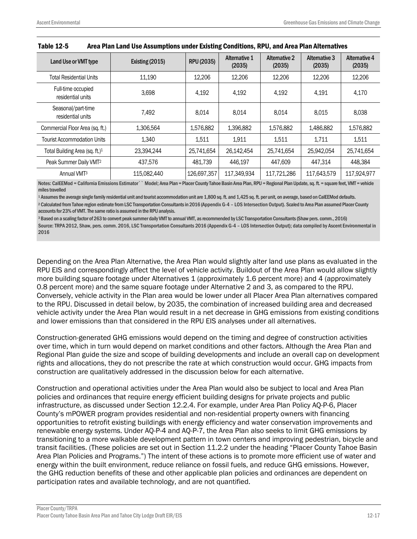| Land Use or VMT type                       | Existing $(2015)$ | <b>RPU (2035)</b> | Alternative 1<br>(2035) | <b>Alternative 2</b><br>(2035) | Alternative 3<br>(2035) | <b>Alternative 4</b><br>(2035) |
|--------------------------------------------|-------------------|-------------------|-------------------------|--------------------------------|-------------------------|--------------------------------|
| <b>Total Residential Units</b>             | 11,190            | 12,206            | 12,206                  | 12,206                         | 12,206                  | 12,206                         |
| Full-time occupied<br>residential units    | 3.698             | 4,192             | 4,192                   | 4,192                          | 4.191                   | 4.170                          |
| Seasonal/part-time<br>residential units    | 7,492             | 8.014             | 8.014                   | 8.014                          | 8.015                   | 8.038                          |
| Commercial Floor Area (sq. ft.)            | 1,306,564         | 1,576,882         | 1,396,882               | 1,576,882                      | 1,486,882               | 1,576,882                      |
| <b>Tourist Accommodation Units</b>         | 1,340             | 1,511             | 1.911                   | 1,511                          | 1.711                   | 1,511                          |
| Total Building Area (sq. ft.) <sup>1</sup> | 23,394,244        | 25,741,654        | 26,142,454              | 25,741,654                     | 25.942.054              | 25,741,654                     |
| Peak Summer Daily VMT <sup>2</sup>         | 437.576           | 481,739           | 446.197                 | 447.609                        | 447.314                 | 448,384                        |
| Annual VMT <sup>3</sup>                    | 115.082.440       | 126,697,357       | 117,349,934             | 117.721.286                    | 117,643,579             | 117,924,977                    |

| <b>Table 12-5</b> | Area Plan Land Use Assumptions under Existing Conditions, RPU, and Area Plan Alternatives |  |  |
|-------------------|-------------------------------------------------------------------------------------------|--|--|
|-------------------|-------------------------------------------------------------------------------------------|--|--|

Notes: CalEEMod = California Emissions Estimator `` Model; Area Plan = Placer County Tahoe Basin Area Plan, RPU = Regional Plan Update, sq. ft. = square feet, VMT = vehicle miles travelled

<sup>1</sup> Assumes the average single family residential unit and tourist accommodation unit are 1,800 sq. ft. and 1,425 sq. ft. per unit, on average, based on CalEEMod defaults. <sup>2</sup> Calculated from Tahoe region estimate from LSC Transportation Consultants in 2016 (Appendix G-4 - LOS Intersection Output). Scaled to Area Plan assumed Placer County accounts for 23% of VMT. The same ratio is assumed in the RPU analysis.

<sup>3</sup> Based on a scaling factor of 263 to convert peak summer daily VMT to annual VMT, as recommended by LSC Transportation Consultants (Shaw pers. comm., 2016) Source: TRPA 2012, Shaw, pers. comm. 2016, LSC Transportation Consultants 2016 (Appendix G-4 – LOS Intersection Output); data compiled by Ascent Environmental in 2016

Depending on the Area Plan Alternative, the Area Plan would slightly alter land use plans as evaluated in the RPU EIS and correspondingly affect the level of vehicle activity. Buildout of the Area Plan would allow slightly more building square footage under Alternatives 1 (approximately 1.6 percent more) and 4 (approximately 0.8 percent more) and the same square footage under Alternative 2 and 3, as compared to the RPU. Conversely, vehicle activity in the Plan area would be lower under all Placer Area Plan alternatives compared to the RPU. Discussed in detail below, by 2035, the combination of increased building area and decreased vehicle activity under the Area Plan would result in a net decrease in GHG emissions from existing conditions and lower emissions than that considered in the RPU EIS analyses under all alternatives.

Construction-generated GHG emissions would depend on the timing and degree of construction activities over time, which in turn would depend on market conditions and other factors. Although the Area Plan and Regional Plan guide the size and scope of building developments and include an overall cap on development rights and allocations, they do not prescribe the rate at which construction would occur. GHG impacts from construction are qualitatively addressed in the discussion below for each alternative.

Construction and operational activities under the Area Plan would also be subject to local and Area Plan policies and ordinances that require energy efficient building designs for private projects and public infrastructure, as discussed under Section 12.2.4. For example, under Area Plan Policy AQ-P-6, Placer County's mPOWER program provides residential and non-residential property owners with financing opportunities to retrofit existing buildings with energy efficiency and water conservation improvements and renewable energy systems. Under AQ-P-4 and AQ-P-7, the Area Plan also seeks to limit GHG emissions by transitioning to a more walkable development pattern in town centers and improving pedestrian, bicycle and transit facilities. (These policies are set out in Section 11.2.2 under the heading "Placer County Tahoe Basin Area Plan Policies and Programs.") The intent of these actions is to promote more efficient use of water and energy within the built environment, reduce reliance on fossil fuels, and reduce GHG emissions. However, the GHG reduction benefits of these and other applicable plan policies and ordinances are dependent on participation rates and available technology, and are not quantified.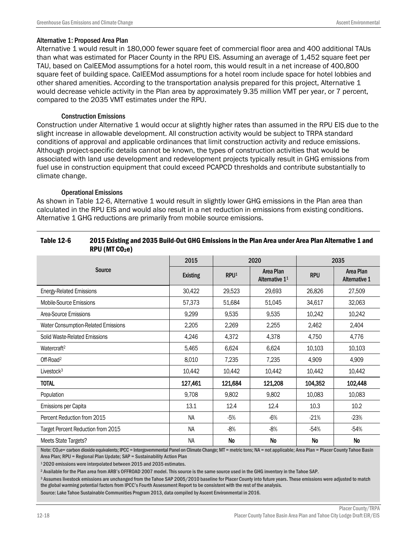#### Alternative 1: Proposed Area Plan

Alternative 1 would result in 180,000 fewer square feet of commercial floor area and 400 additional TAUs than what was estimated for Placer County in the RPU EIS. Assuming an average of 1,452 square feet per TAU, based on CalEEMod assumptions for a hotel room, this would result in a net increase of 400,800 square feet of building space. CalEEMod assumptions for a hotel room include space for hotel lobbies and other shared amenities. According to the transportation analysis prepared for this project, Alternative 1 would decrease vehicle activity in the Plan area by approximately 9.35 million VMT per year, or 7 percent, compared to the 2035 VMT estimates under the RPU.

### Construction Emissions

Construction under Alternative 1 would occur at slightly higher rates than assumed in the RPU EIS due to the slight increase in allowable development. All construction activity would be subject to TRPA standard conditions of approval and applicable ordinances that limit construction activity and reduce emissions. Although project-specific details cannot be known, the types of construction activities that would be associated with land use development and redevelopment projects typically result in GHG emissions from fuel use in construction equipment that could exceed PCAPCD thresholds and contribute substantially to climate change.

#### Operational Emissions

As shown in Table 12-6, Alternative 1 would result in slightly lower GHG emissions in the Plan area than calculated in the RPU EIS and would also result in a net reduction in emissions from existing conditions. Alternative 1 GHG reductions are primarily from mobile source emissions.

|                                     | 2015            |                  | 2020                                    |            | 2035                              |  |
|-------------------------------------|-----------------|------------------|-----------------------------------------|------------|-----------------------------------|--|
| <b>Source</b>                       | <b>Existing</b> | RPU <sup>1</sup> | Area Plan<br>Alternative 1 <sup>1</sup> | <b>RPU</b> | Area Plan<br><b>Alternative 1</b> |  |
| <b>Energy-Related Emissions</b>     | 30,422          | 29,523           | 29,693                                  | 26,826     | 27,509                            |  |
| Mobile-Source Emissions             | 57,373          | 51,684           | 51,045                                  | 34,617     | 32,063                            |  |
| Area-Source Emissions               | 9,299           | 9,535            | 9,535                                   | 10,242     | 10,242                            |  |
| Water Consumption-Related Emissions | 2,205           | 2,269            | 2,255                                   | 2,462      | 2,404                             |  |
| Solid Waste-Related Emissions       | 4,246           | 4,372            | 4,378                                   | 4,750      | 4,776                             |  |
| Watercraft <sup>2</sup>             | 5,465           | 6,624            | 6,624                                   | 10,103     | 10,103                            |  |
| Off-Road <sup>2</sup>               | 8,010           | 7,235            | 7,235                                   | 4,909      | 4,909                             |  |
| Livestock <sup>3</sup>              | 10,442          | 10,442           | 10,442                                  | 10,442     | 10,442                            |  |
| <b>TOTAL</b>                        | 127,461         | 121,684          | 121,208                                 | 104,352    | 102,448                           |  |
| Population                          | 9,708           | 9,802            | 9,802                                   | 10,083     | 10,083                            |  |
| Emissions per Capita                | 13.1            | 12.4             | 12.4                                    | 10.3       | 10.2                              |  |
| Percent Reduction from 2015         | NA              | $-5%$            | $-6%$                                   | $-21%$     | $-23%$                            |  |
| Target Percent Reduction from 2015  | <b>NA</b>       | $-8%$            | $-8%$                                   | $-54%$     | $-54%$                            |  |
| Meets State Targets?                | NA              | <b>No</b>        | No                                      | No         | No                                |  |

### Table 12-6 2015 Existing and 2035 Build-Out GHG Emissions in the Plan Area under Area Plan Alternative 1 and  $RPU$  (MT  $CO<sub>2</sub>e$ )

Note: CO<sub>2</sub>e= carbon dioxide equivalents; IPCC = Intergovernmental Panel on Climate Change; MT = metric tons; NA = not applicable; Area Plan = Placer County Tahoe Basin Area Plan; RPU = Regional Plan Update; SAP = Sustainability Action Plan

<sup>1</sup> 2020 emissions were interpolated between 2015 and 2035 estimates.

<sup>2</sup> Available for the Plan area from ARB's OFFROAD 2007 model. This source is the same source used in the GHG inventory in the Tahoe SAP.

3 Assumes livestock emissions are unchanged from the Tahoe SAP 2005/2010 baseline for Placer County into future years. These emissions were adjusted to match the global warming potential factors from IPCC's Fourth Assessment Report to be consistent with the rest of the analysis.

Source: Lake Tahoe Sustainable Communities Program 2013, data compiled by Ascent Environmental in 2016.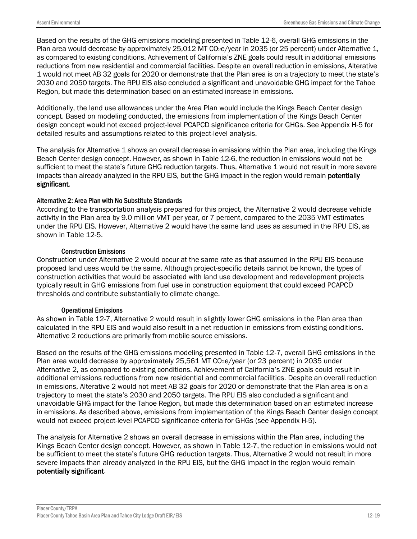Based on the results of the GHG emissions modeling presented in Table 12-6, overall GHG emissions in the Plan area would decrease by approximately 25,012 MT CO<sub>2</sub>e/year in 2035 (or 25 percent) under Alternative 1, as compared to existing conditions. Achievement of California's ZNE goals could result in additional emissions reductions from new residential and commercial facilities. Despite an overall reduction in emissions, Alterative 1 would not meet AB 32 goals for 2020 or demonstrate that the Plan area is on a trajectory to meet the state's 2030 and 2050 targets. The RPU EIS also concluded a significant and unavoidable GHG impact for the Tahoe Region, but made this determination based on an estimated increase in emissions.

Additionally, the land use allowances under the Area Plan would include the Kings Beach Center design concept. Based on modeling conducted, the emissions from implementation of the Kings Beach Center design concept would not exceed project-level PCAPCD significance criteria for GHGs. See Appendix H-5 for detailed results and assumptions related to this project-level analysis.

The analysis for Alternative 1 shows an overall decrease in emissions within the Plan area, including the Kings Beach Center design concept. However, as shown in Table 12-6, the reduction in emissions would not be sufficient to meet the state's future GHG reduction targets. Thus, Alternative 1 would not result in more severe impacts than already analyzed in the RPU EIS, but the GHG impact in the region would remain **potentially** significant.

### Alternative 2: Area Plan with No Substitute Standards

According to the transportation analysis prepared for this project, the Alternative 2 would decrease vehicle activity in the Plan area by 9.0 million VMT per year, or 7 percent, compared to the 2035 VMT estimates under the RPU EIS. However, Alternative 2 would have the same land uses as assumed in the RPU EIS, as shown in Table 12-5.

### Construction Emissions

Construction under Alternative 2 would occur at the same rate as that assumed in the RPU EIS because proposed land uses would be the same. Although project-specific details cannot be known, the types of construction activities that would be associated with land use development and redevelopment projects typically result in GHG emissions from fuel use in construction equipment that could exceed PCAPCD thresholds and contribute substantially to climate change.

### Operational Emissions

As shown in Table 12-7, Alternative 2 would result in slightly lower GHG emissions in the Plan area than calculated in the RPU EIS and would also result in a net reduction in emissions from existing conditions. Alternative 2 reductions are primarily from mobile source emissions.

Based on the results of the GHG emissions modeling presented in Table 12-7, overall GHG emissions in the Plan area would decrease by approximately 25,561 MT CO2e/year (or 23 percent) in 2035 under Alternative 2, as compared to existing conditions. Achievement of California's ZNE goals could result in additional emissions reductions from new residential and commercial facilities. Despite an overall reduction in emissions, Alterative 2 would not meet AB 32 goals for 2020 or demonstrate that the Plan area is on a trajectory to meet the state's 2030 and 2050 targets. The RPU EIS also concluded a significant and unavoidable GHG impact for the Tahoe Region, but made this determination based on an estimated increase in emissions. As described above, emissions from implementation of the Kings Beach Center design concept would not exceed project-level PCAPCD significance criteria for GHGs (see Appendix H-5).

The analysis for Alternative 2 shows an overall decrease in emissions within the Plan area, including the Kings Beach Center design concept. However, as shown in Table 12-7, the reduction in emissions would not be sufficient to meet the state's future GHG reduction targets. Thus, Alternative 2 would not result in more severe impacts than already analyzed in the RPU EIS, but the GHG impact in the region would remain potentially significant.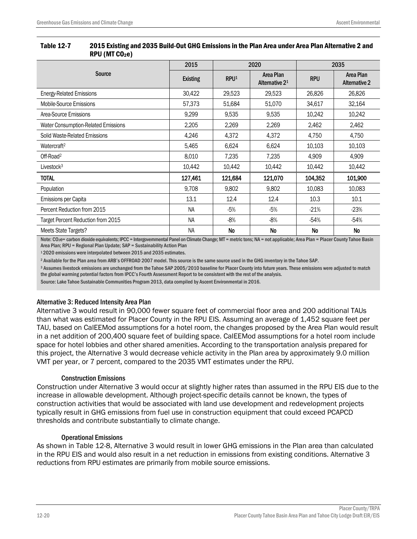### Table 12-7 2015 Existing and 2035 Build-Out GHG Emissions in the Plan Area under Area Plan Alternative 2 and  $RPU$  (MT  $CO<sub>2</sub>e$ )

|                                     | 2015            |                  | 2020                                    |            | 2035                              |  |
|-------------------------------------|-----------------|------------------|-----------------------------------------|------------|-----------------------------------|--|
| Source                              | <b>Existing</b> | RPU <sup>1</sup> | Area Plan<br>Alternative 2 <sup>1</sup> | <b>RPU</b> | Area Plan<br><b>Alternative 2</b> |  |
| <b>Energy-Related Emissions</b>     | 30,422          | 29,523           | 29,523                                  | 26,826     | 26,826                            |  |
| Mobile-Source Emissions             | 57,373          | 51,684           | 51,070                                  | 34,617     | 32,164                            |  |
| Area-Source Emissions               | 9,299           | 9,535            | 9,535                                   | 10,242     | 10,242                            |  |
| Water Consumption-Related Emissions | 2,205           | 2,269            | 2,269                                   | 2,462      | 2,462                             |  |
| Solid Waste-Related Emissions       | 4,246           | 4,372            | 4,372                                   | 4,750      | 4,750                             |  |
| Watercraft <sup>2</sup>             | 5,465           | 6,624            | 6,624                                   | 10,103     | 10,103                            |  |
| Off-Road <sup>2</sup>               | 8,010           | 7,235            | 7,235                                   | 4,909      | 4,909                             |  |
| Livestock <sup>3</sup>              | 10,442          | 10,442           | 10,442                                  | 10,442     | 10,442                            |  |
| TOTAL                               | 127,461         | 121,684          | 121,070                                 | 104,352    | 101,900                           |  |
| Population                          | 9,708           | 9,802            | 9,802                                   | 10,083     | 10,083                            |  |
| Emissions per Capita                | 13.1            | 12.4             | 12.4                                    | 10.3       | 10.1                              |  |
| Percent Reduction from 2015         | <b>NA</b>       | $-5%$            | $-5%$                                   | $-21%$     | $-23%$                            |  |
| Target Percent Reduction from 2015  | <b>NA</b>       | -8%              | $-8%$                                   | $-54%$     | $-54%$                            |  |
| Meets State Targets?                | <b>NA</b>       | No               | No                                      | No         | No                                |  |

Note: CO<sub>2</sub>e= carbon dioxide equivalents; IPCC = Intergovernmental Panel on Climate Change; MT = metric tons; NA = not applicable; Area Plan = Placer County Tahoe Basin Area Plan; RPU = Regional Plan Update; SAP = Sustainability Action Plan

<sup>1</sup>2020 emissions were interpolated between 2015 and 2035 estimates.

<sup>2</sup> Available for the Plan area from ARB's OFFROAD 2007 model. This source is the same source used in the GHG inventory in the Tahoe SAP.

3 Assumes livestock emissions are unchanged from the Tahoe SAP 2005/2010 baseline for Placer County into future years. These emissions were adjusted to match the global warming potential factors from IPCC's Fourth Assessment Report to be consistent with the rest of the analysis.

Source: Lake Tahoe Sustainable Communities Program 2013, data compiled by Ascent Environmental in 2016.

### Alternative 3: Reduced Intensity Area Plan

Alternative 3 would result in 90,000 fewer square feet of commercial floor area and 200 additional TAUs than what was estimated for Placer County in the RPU EIS. Assuming an average of 1,452 square feet per TAU, based on CalEEMod assumptions for a hotel room, the changes proposed by the Area Plan would result in a net addition of 200,400 square feet of building space. CalEEMod assumptions for a hotel room include space for hotel lobbies and other shared amenities. According to the transportation analysis prepared for this project, the Alternative 3 would decrease vehicle activity in the Plan area by approximately 9.0 million VMT per year, or 7 percent, compared to the 2035 VMT estimates under the RPU.

#### Construction Emissions

Construction under Alternative 3 would occur at slightly higher rates than assumed in the RPU EIS due to the increase in allowable development. Although project-specific details cannot be known, the types of construction activities that would be associated with land use development and redevelopment projects typically result in GHG emissions from fuel use in construction equipment that could exceed PCAPCD thresholds and contribute substantially to climate change.

#### Operational Emissions

As shown in Table 12-8, Alternative 3 would result in lower GHG emissions in the Plan area than calculated in the RPU EIS and would also result in a net reduction in emissions from existing conditions. Alternative 3 reductions from RPU estimates are primarily from mobile source emissions.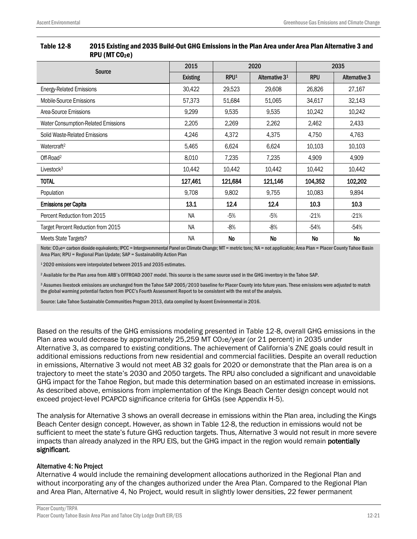| <b>Table 12-8</b> | 2015 Existing and 2035 Build-Out GHG Emissions in the Plan Area under Area Plan Alternative 3 and |
|-------------------|---------------------------------------------------------------------------------------------------|
|                   | $RPU$ (MT $CO2e$ )                                                                                |

| <b>Source</b>                       | 2015            |                  | 2020           | 2035       |                      |  |  |
|-------------------------------------|-----------------|------------------|----------------|------------|----------------------|--|--|
|                                     | <b>Existing</b> | RPU <sup>1</sup> | Alternative 31 | <b>RPU</b> | <b>Alternative 3</b> |  |  |
| <b>Energy-Related Emissions</b>     | 30,422          | 29,523           | 29,608         | 26,826     | 27,167               |  |  |
| Mobile-Source Emissions             | 57,373          | 51,684           | 51,065         | 34,617     | 32,143               |  |  |
| Area-Source Emissions               | 9,299           | 9,535            | 9,535          | 10,242     | 10,242               |  |  |
| Water Consumption-Related Emissions | 2,205           | 2,269            | 2,262          | 2,462      | 2,433                |  |  |
| Solid Waste-Related Emissions       | 4,246           | 4,372            | 4,375          | 4,750      | 4,763                |  |  |
| Watercraft <sup>2</sup>             | 5,465           | 6,624            | 6,624          | 10,103     | 10,103               |  |  |
| Off-Road <sup>2</sup>               | 8,010           | 7,235            | 7,235          | 4,909      | 4,909                |  |  |
| Livestock <sup>3</sup>              | 10,442          | 10,442           | 10,442         | 10,442     | 10,442               |  |  |
| <b>TOTAL</b>                        | 127,461         | 121,684          | 121,146        | 104,352    | 102,202              |  |  |
| Population                          | 9,708           | 9,802            | 9,755          | 10,083     | 9,894                |  |  |
| <b>Emissions per Capita</b>         | 13.1            | 12.4             | 12.4           | 10.3       | 10.3                 |  |  |
| Percent Reduction from 2015         | <b>NA</b>       | $-5%$            | $-5%$          | $-21%$     | $-21%$               |  |  |
| Target Percent Reduction from 2015  | <b>NA</b>       | $-8%$            | $-8%$          | -54%       | $-54%$               |  |  |
| Meets State Targets?                | <b>NA</b>       | No               | No             | No         | No                   |  |  |

Note: CO<sub>2</sub>e= carbon dioxide equivalents; IPCC = Intergovernmental Panel on Climate Change; MT = metric tons; NA = not applicable; Area Plan = Placer County Tahoe Basin Area Plan; RPU = Regional Plan Update; SAP = Sustainability Action Plan

<sup>1</sup>2020 emissions were interpolated between 2015 and 2035 estimates.

<sup>2</sup> Available for the Plan area from ARB's OFFROAD 2007 model. This source is the same source used in the GHG inventory in the Tahoe SAP.

<sup>3</sup> Assumes livestock emissions are unchanged from the Tahoe SAP 2005/2010 baseline for Placer County into future years. These emissions were adjusted to match the global warming potential factors from IPCC's Fourth Assessment Report to be consistent with the rest of the analysis.

Source: Lake Tahoe Sustainable Communities Program 2013, data compiled by Ascent Environmental in 2016.

Based on the results of the GHG emissions modeling presented in Table 12-8, overall GHG emissions in the Plan area would decrease by approximately 25,259 MT CO<sub>2</sub>e/year (or 21 percent) in 2035 under Alternative 3, as compared to existing conditions. The achievement of California's ZNE goals could result in additional emissions reductions from new residential and commercial facilities. Despite an overall reduction in emissions, Alternative 3 would not meet AB 32 goals for 2020 or demonstrate that the Plan area is on a trajectory to meet the state's 2030 and 2050 targets. The RPU also concluded a significant and unavoidable GHG impact for the Tahoe Region, but made this determination based on an estimated increase in emissions. As described above, emissions from implementation of the Kings Beach Center design concept would not exceed project-level PCAPCD significance criteria for GHGs (see Appendix H-5).

The analysis for Alternative 3 shows an overall decrease in emissions within the Plan area, including the Kings Beach Center design concept. However, as shown in Table 12-8, the reduction in emissions would not be sufficient to meet the state's future GHG reduction targets. Thus, Alternative 3 would not result in more severe impacts than already analyzed in the RPU EIS, but the GHG impact in the region would remain potentially significant.

### Alternative 4: No Project

Alternative 4 would include the remaining development allocations authorized in the Regional Plan and without incorporating any of the changes authorized under the Area Plan. Compared to the Regional Plan and Area Plan, Alternative 4, No Project, would result in slightly lower densities, 22 fewer permanent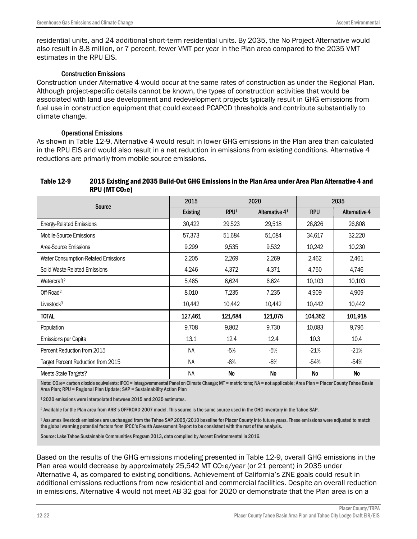residential units, and 24 additional short-term residential units. By 2035, the No Project Alternative would also result in 8.8 million, or 7 percent, fewer VMT per year in the Plan area compared to the 2035 VMT estimates in the RPU EIS.

#### Construction Emissions

Construction under Alternative 4 would occur at the same rates of construction as under the Regional Plan. Although project-specific details cannot be known, the types of construction activities that would be associated with land use development and redevelopment projects typically result in GHG emissions from fuel use in construction equipment that could exceed PCAPCD thresholds and contribute substantially to climate change.

### Operational Emissions

As shown in Table 12-9, Alternative 4 would result in lower GHG emissions in the Plan area than calculated in the RPU EIS and would also result in a net reduction in emissions from existing conditions. Alternative 4 reductions are primarily from mobile source emissions.

### Table 12-9 2015 Existing and 2035 Build-Out GHG Emissions in the Plan Area under Area Plan Alternative 4 and  $RPU$  (MT  $CO<sub>2</sub>e$ )

| <b>Source</b>                       | 2015            |                  | 2020           | 2035       |                      |  |
|-------------------------------------|-----------------|------------------|----------------|------------|----------------------|--|
|                                     | <b>Existing</b> | RPU <sup>1</sup> | Alternative 41 | <b>RPU</b> | <b>Alternative 4</b> |  |
| Energy-Related Emissions            | 30,422          | 29,523           | 29,518         | 26,826     | 26,808               |  |
| Mobile-Source Emissions             | 57,373          | 51,684           | 51,084         | 34,617     | 32,220               |  |
| Area-Source Emissions               | 9,299           | 9,535            | 9,532          | 10,242     | 10,230               |  |
| Water Consumption-Related Emissions | 2,205           | 2,269            | 2,269          | 2,462      | 2,461                |  |
| Solid Waste-Related Emissions       | 4,246           | 4,372            | 4,371          | 4,750      | 4,746                |  |
| Watercraft <sup>2</sup>             | 5,465           | 6,624            | 6,624          | 10,103     | 10,103               |  |
| Off-Road <sup>2</sup>               | 8,010           | 7,235            | 7,235          | 4,909      | 4,909                |  |
| Livestock <sup>3</sup>              | 10,442          | 10,442           | 10,442         | 10,442     | 10,442               |  |
| <b>TOTAL</b>                        | 127,461         | 121,684          | 121,075        | 104,352    | 101,918              |  |
| Population                          | 9,708           | 9,802            | 9,730          | 10,083     | 9,796                |  |
| Emissions per Capita                | 13.1            | 12.4             | 12.4           | 10.3       | 10.4                 |  |
| Percent Reduction from 2015         | <b>NA</b>       | $-5%$            | $-5%$          | $-21%$     | $-21%$               |  |
| Target Percent Reduction from 2015  | <b>NA</b>       | $-8%$            | $-8%$          | -54%       | $-54%$               |  |
| Meets State Targets?                | <b>NA</b>       | No               | No             | No         | No                   |  |

Note: CO<sub>2</sub>e= carbon dioxide equivalents; IPCC = Intergovernmental Panel on Climate Change; MT = metric tons; NA = not applicable; Area Plan = Placer County Tahoe Basin Area Plan; RPU = Regional Plan Update; SAP = Sustainability Action Plan

<sup>1</sup>2020 emissions were interpolated between 2015 and 2035 estimates.

<sup>2</sup> Available for the Plan area from ARB's OFFROAD 2007 model. This source is the same source used in the GHG inventory in the Tahoe SAP.

3 Assumes livestock emissions are unchanged from the Tahoe SAP 2005/2010 baseline for Placer County into future years. These emissions were adjusted to match the global warming potential factors from IPCC's Fourth Assessment Report to be consistent with the rest of the analysis.

Source: Lake Tahoe Sustainable Communities Program 2013, data compiled by Ascent Environmental in 2016.

Based on the results of the GHG emissions modeling presented in Table 12-9, overall GHG emissions in the Plan area would decrease by approximately 25,542 MT CO2e/year (or 21 percent) in 2035 under Alternative 4, as compared to existing conditions. Achievement of California's ZNE goals could result in additional emissions reductions from new residential and commercial facilities. Despite an overall reduction in emissions, Alternative 4 would not meet AB 32 goal for 2020 or demonstrate that the Plan area is on a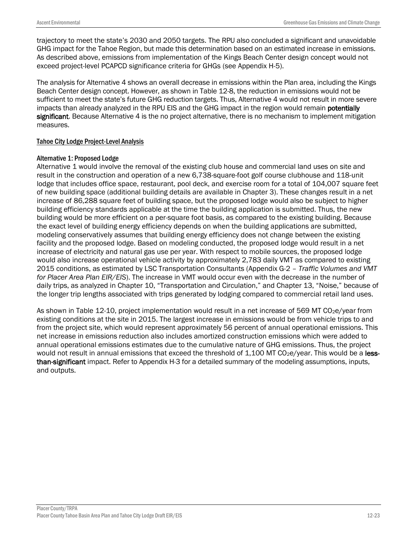trajectory to meet the state's 2030 and 2050 targets. The RPU also concluded a significant and unavoidable GHG impact for the Tahoe Region, but made this determination based on an estimated increase in emissions. As described above, emissions from implementation of the Kings Beach Center design concept would not exceed project-level PCAPCD significance criteria for GHGs (see Appendix H-5).

The analysis for Alternative 4 shows an overall decrease in emissions within the Plan area, including the Kings Beach Center design concept. However, as shown in Table 12-8, the reduction in emissions would not be sufficient to meet the state's future GHG reduction targets. Thus, Alternative 4 would not result in more severe impacts than already analyzed in the RPU EIS and the GHG impact in the region would remain **potentially** significant. Because Alternative 4 is the no project alternative, there is no mechanism to implement mitigation measures.

### Tahoe City Lodge Project-Level Analysis

#### Alternative 1: Proposed Lodge

Alternative 1 would involve the removal of the existing club house and commercial land uses on site and result in the construction and operation of a new 6,738-square-foot golf course clubhouse and 118-unit lodge that includes office space, restaurant, pool deck, and exercise room for a total of 104,007 square feet of new building space (additional building details are available in Chapter 3). These changes result in a net increase of 86,288 square feet of building space, but the proposed lodge would also be subject to higher building efficiency standards applicable at the time the building application is submitted. Thus, the new building would be more efficient on a per-square foot basis, as compared to the existing building. Because the exact level of building energy efficiency depends on when the building applications are submitted, modeling conservatively assumes that building energy efficiency does not change between the existing facility and the proposed lodge. Based on modeling conducted, the proposed lodge would result in a net increase of electricity and natural gas use per year. With respect to mobile sources, the proposed lodge would also increase operational vehicle activity by approximately 2,783 daily VMT as compared to existing 2015 conditions, as estimated by LSC Transportation Consultants (Appendix G-2 – *Traffic Volumes and VMT for Placer Area Plan EIR/EIS*). The increase in VMT would occur even with the decrease in the number of daily trips, as analyzed in Chapter 10, "Transportation and Circulation," and Chapter 13, "Noise," because of the longer trip lengths associated with trips generated by lodging compared to commercial retail land uses.

As shown in Table 12-10, project implementation would result in a net increase of 569 MT CO<sub>2</sub>e/year from existing conditions at the site in 2015. The largest increase in emissions would be from vehicle trips to and from the project site, which would represent approximately 56 percent of annual operational emissions. This net increase in emissions reduction also includes amortized construction emissions which were added to annual operational emissions estimates due to the cumulative nature of GHG emissions. Thus, the project would not result in annual emissions that exceed the threshold of 1,100 MT CO<sub>2</sub>e/year. This would be a lessthan-significant impact. Refer to Appendix H-3 for a detailed summary of the modeling assumptions, inputs, and outputs.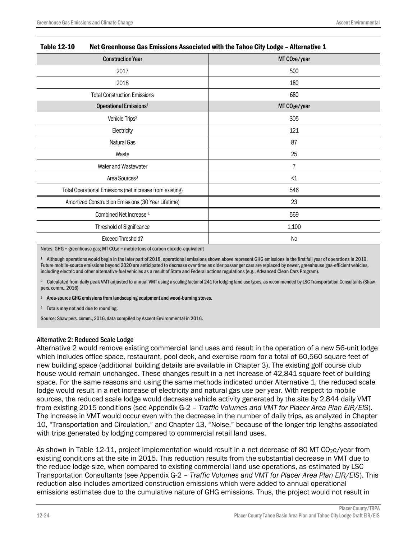| <b>Construction Year</b>                                 | MT CO <sub>2</sub> e/year |
|----------------------------------------------------------|---------------------------|
| 2017                                                     | 500                       |
| 2018                                                     | 180                       |
| <b>Total Construction Emissions</b>                      | 680                       |
| <b>Operational Emissions1</b>                            | MT CO <sub>2</sub> e/year |
| Vehicle Trips <sup>2</sup>                               | 305                       |
| Electricity                                              | 121                       |
| Natural Gas                                              | 87                        |
| Waste                                                    | 25                        |
| Water and Wastewater                                     | 7                         |
| Area Sources <sup>3</sup>                                | $<$ 1                     |
| Total Operational Emissions (net increase from existing) | 546                       |
| Amortized Construction Emissions (30 Year Lifetime)      | 23                        |
| Combined Net Increase 4                                  | 569                       |
| Threshold of Significance                                | 1,100                     |
| Exceed Threshold?                                        | No                        |

#### Table 12-10 Net Greenhouse Gas Emissions Associated with the Tahoe City Lodge – Alternative 1

Notes: GHG = greenhouse gas; MT  $CO<sub>2</sub>e$  = metric tons of carbon dioxide-equivalent

<sup>1</sup> Although operations would begin in the later part of 2018, operational emissions shown above represent GHG emissions in the first full year of operations in 2019. Future mobile-source emissions beyond 2020 are anticipated to decrease over time as older passenger cars are replaced by newer, greenhouse gas-efficient vehicles, including electric and other alternative-fuel vehicles as a result of State and Federal actions regulations (e.g., Advanced Clean Cars Program).

<sup>2</sup> Calculated from daily peak VMT adjusted to annual VMT using a scaling factor of 241 for lodging land use types, as recommended by LSC Transportation Consultants (Shaw pers. comm., 2016)

<sup>3</sup> Area-source GHG emissions from landscaping equipment and wood-burning stoves.

<sup>4</sup> Totals may not add due to rounding.

Source: Shaw pers. comm., 2016, data compiled by Ascent Environmental in 2016.

#### Alternative 2: Reduced Scale Lodge

Alternative 2 would remove existing commercial land uses and result in the operation of a new 56-unit lodge which includes office space, restaurant, pool deck, and exercise room for a total of 60,560 square feet of new building space (additional building details are available in Chapter 3). The existing golf course club house would remain unchanged. These changes result in a net increase of 42,841 square feet of building space. For the same reasons and using the same methods indicated under Alternative 1, the reduced scale lodge would result in a net increase of electricity and natural gas use per year. With respect to mobile sources, the reduced scale lodge would decrease vehicle activity generated by the site by 2,844 daily VMT from existing 2015 conditions (see Appendix G-2 – *Traffic Volumes and VMT for Placer Area Plan EIR/EIS*). The increase in VMT would occur even with the decrease in the number of daily trips, as analyzed in Chapter 10, "Transportation and Circulation," and Chapter 13, "Noise," because of the longer trip lengths associated with trips generated by lodging compared to commercial retail land uses.

As shown in Table 12-11, project implementation would result in a net decrease of 80 MT CO2e/year from existing conditions at the site in 2015. This reduction results from the substantial decrease in VMT due to the reduce lodge size, when compared to existing commercial land use operations, as estimated by LSC Transportation Consultants (see Appendix G-2 – *Traffic Volumes and VMT for Placer Area Plan EIR/EIS*). This reduction also includes amortized construction emissions which were added to annual operational emissions estimates due to the cumulative nature of GHG emissions. Thus, the project would not result in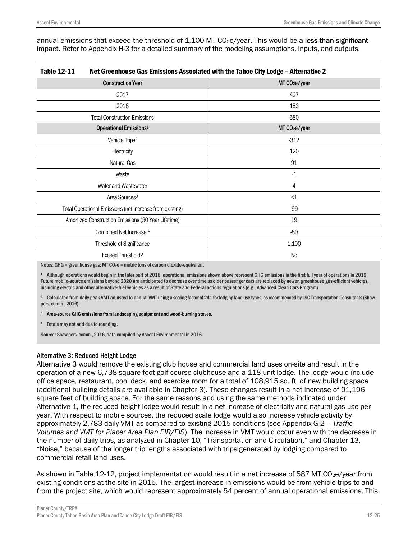annual emissions that exceed the threshold of 1,100 MT CO<sub>2</sub>e/year. This would be a less-than-significant impact. Refer to Appendix H-3 for a detailed summary of the modeling assumptions, inputs, and outputs.

| <b>Table 12-11</b>                                       | Net Greenhouse Gas Emissions Associated with the Tahoe City Lodge - Alternative 2 |
|----------------------------------------------------------|-----------------------------------------------------------------------------------|
| <b>Construction Year</b>                                 | MT CO <sub>2</sub> e/year                                                         |
| 2017                                                     | 427                                                                               |
| 2018                                                     | 153                                                                               |
| <b>Total Construction Emissions</b>                      | 580                                                                               |
| Operational Emissions <sup>1</sup>                       | MT CO <sub>2</sub> e/year                                                         |
| Vehicle Trips <sup>2</sup>                               | $-312$                                                                            |
| Electricity                                              | 120                                                                               |
| Natural Gas                                              | 91                                                                                |
| Waste                                                    | $-1$                                                                              |
| Water and Wastewater                                     | 4                                                                                 |
| Area Sources <sup>3</sup>                                | $<$ 1                                                                             |
| Total Operational Emissions (net increase from existing) | -99                                                                               |
| Amortized Construction Emissions (30 Year Lifetime)      | 19                                                                                |
| Combined Net Increase 4                                  | $-80$                                                                             |
| Threshold of Significance                                | 1,100                                                                             |
| Exceed Threshold?                                        | No                                                                                |

Notes: GHG = greenhouse gas; MT  $CO<sub>2</sub>e$  = metric tons of carbon dioxide-equivalent

<sup>1</sup> Although operations would begin in the later part of 2018, operational emissions shown above represent GHG emissions in the first full year of operations in 2019. Future mobile-source emissions beyond 2020 are anticipated to decrease over time as older passenger cars are replaced by newer, greenhouse gas-efficient vehicles, including electric and other alternative-fuel vehicles as a result of State and Federal actions regulations (e.g., Advanced Clean Cars Program).

<sup>2</sup> Calculated from daily peak VMT adjusted to annual VMT using a scaling factor of 241 for lodging land use types, as recommended by LSC Transportation Consultants (Shaw pers. comm., 2016)

<sup>3</sup> Area-source GHG emissions from landscaping equipment and wood-burning stoves.

<sup>4</sup> Totals may not add due to rounding.

Source: Shaw pers. comm., 2016, data compiled by Ascent Environmental in 2016.

#### Alternative 3: Reduced Height Lodge

Alternative 3 would remove the existing club house and commercial land uses on-site and result in the operation of a new 6,738-square-foot golf course clubhouse and a 118-unit lodge. The lodge would include office space, restaurant, pool deck, and exercise room for a total of 108,915 sq. ft. of new building space (additional building details are available in Chapter 3). These changes result in a net increase of 91,196 square feet of building space. For the same reasons and using the same methods indicated under Alternative 1, the reduced height lodge would result in a net increase of electricity and natural gas use per year. With respect to mobile sources, the reduced scale lodge would also increase vehicle activity by approximately 2,783 daily VMT as compared to existing 2015 conditions (see Appendix G-2 – *Traffic Volumes and VMT for Placer Area Plan EIR/EIS*). The increase in VMT would occur even with the decrease in the number of daily trips, as analyzed in Chapter 10, "Transportation and Circulation," and Chapter 13, "Noise," because of the longer trip lengths associated with trips generated by lodging compared to commercial retail land uses.

As shown in Table 12-12, project implementation would result in a net increase of 587 MT  $CO<sub>2</sub>e/year$  from existing conditions at the site in 2015. The largest increase in emissions would be from vehicle trips to and from the project site, which would represent approximately 54 percent of annual operational emissions. This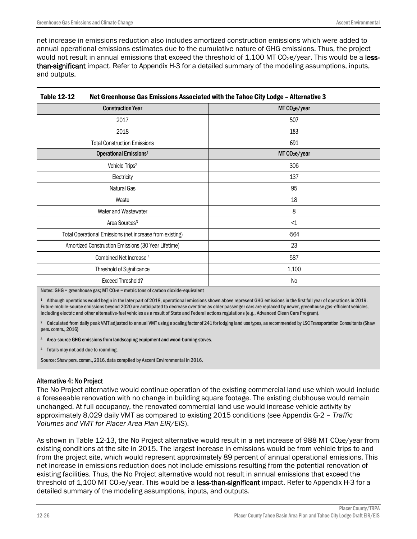net increase in emissions reduction also includes amortized construction emissions which were added to annual operational emissions estimates due to the cumulative nature of GHG emissions. Thus, the project would not result in annual emissions that exceed the threshold of  $1,100$  MT CO<sub>2</sub>e/year. This would be a lessthan-significant impact. Refer to Appendix H-3 for a detailed summary of the modeling assumptions, inputs, and outputs.

| <b>Table 12-12</b> |                                                          | Net Greenhouse Gas Emissions Associated with the Tahoe City Lodge - Alternative 3 |
|--------------------|----------------------------------------------------------|-----------------------------------------------------------------------------------|
|                    | <b>Construction Year</b>                                 | MT CO <sub>2</sub> e/year                                                         |
|                    | 2017                                                     | 507                                                                               |
|                    | 2018                                                     | 183                                                                               |
|                    | <b>Total Construction Emissions</b>                      | 691                                                                               |
|                    | Operational Emissions <sup>1</sup>                       | MT CO <sub>2</sub> e/year                                                         |
|                    | Vehicle Trips <sup>2</sup>                               | 306                                                                               |
|                    | Electricity                                              | 137                                                                               |
|                    | Natural Gas                                              | 95                                                                                |
|                    | Waste                                                    | 18                                                                                |
|                    | Water and Wastewater                                     | 8                                                                                 |
|                    | Area Sources <sup>3</sup>                                | $\leq$ 1                                                                          |
|                    | Total Operational Emissions (net increase from existing) | $-564$                                                                            |
|                    | Amortized Construction Emissions (30 Year Lifetime)      | 23                                                                                |
|                    | Combined Net Increase 4                                  | 587                                                                               |
|                    | Threshold of Significance                                | 1,100                                                                             |
|                    | Exceed Threshold?                                        | No                                                                                |

Notes: GHG = greenhouse gas; MT  $CO<sub>2</sub>e$  = metric tons of carbon dioxide-equivalent

<sup>1</sup> Although operations would begin in the later part of 2018, operational emissions shown above represent GHG emissions in the first full year of operations in 2019. Future mobile-source emissions beyond 2020 are anticipated to decrease over time as older passenger cars are replaced by newer, greenhouse gas-efficient vehicles, including electric and other alternative-fuel vehicles as a result of State and Federal actions regulations (e.g., Advanced Clean Cars Program).

<sup>2</sup> Calculated from daily peak VMT adjusted to annual VMT using a scaling factor of 241 for lodging land use types, as recommended by LSC Transportation Consultants (Shaw pers. comm., 2016)

<sup>3</sup> Area-source GHG emissions from landscaping equipment and wood-burning stoves.

<sup>4</sup> Totals may not add due to rounding.

Source: Shaw pers. comm., 2016, data compiled by Ascent Environmental in 2016.

#### Alternative 4: No Project

The No Project alternative would continue operation of the existing commercial land use which would include a foreseeable renovation with no change in building square footage. The existing clubhouse would remain unchanged. At full occupancy, the renovated commercial land use would increase vehicle activity by approximately 8,029 daily VMT as compared to existing 2015 conditions (see Appendix G-2 – *Traffic Volumes and VMT for Placer Area Plan EIR/EIS*).

As shown in Table 12-13, the No Project alternative would result in a net increase of 988 MT CO<sub>2</sub>e/year from existing conditions at the site in 2015. The largest increase in emissions would be from vehicle trips to and from the project site, which would represent approximately 89 percent of annual operational emissions. This net increase in emissions reduction does not include emissions resulting from the potential renovation of existing facilities. Thus, the No Project alternative would not result in annual emissions that exceed the threshold of 1,100 MT CO<sub>2</sub>e/year. This would be a less-than-significant impact. Refer to Appendix H-3 for a detailed summary of the modeling assumptions, inputs, and outputs.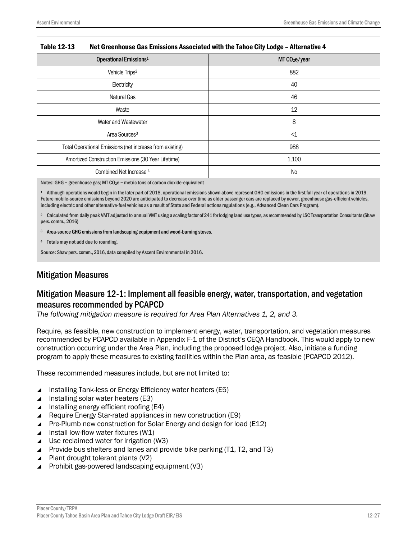| Operational Emissions <sup>1</sup>                       | MT CO <sub>2</sub> e/year |
|----------------------------------------------------------|---------------------------|
| Vehicle Trips <sup>2</sup>                               | 882                       |
| Electricity                                              | 40                        |
| Natural Gas                                              | 46                        |
| Waste                                                    | 12                        |
| Water and Wastewater                                     | 8                         |
| Area Sources <sup>3</sup>                                | $<$ 1                     |
| Total Operational Emissions (net increase from existing) | 988                       |
| Amortized Construction Emissions (30 Year Lifetime)      | 1,100                     |
| Combined Net Increase 4                                  | No                        |

#### Table 12-13 Net Greenhouse Gas Emissions Associated with the Tahoe City Lodge – Alternative 4

Notes: GHG = greenhouse gas; MT CO<sub>2</sub>e = metric tons of carbon dioxide-equivalent

<sup>1</sup> Although operations would begin in the later part of 2018, operational emissions shown above represent GHG emissions in the first full year of operations in 2019. Future mobile-source emissions beyond 2020 are anticipated to decrease over time as older passenger cars are replaced by newer, greenhouse gas-efficient vehicles, including electric and other alternative-fuel vehicles as a result of State and Federal actions regulations (e.g., Advanced Clean Cars Program).

<sup>2</sup> Calculated from daily peak VMT adjusted to annual VMT using a scaling factor of 241 for lodging land use types, as recommended by LSC Transportation Consultants (Shaw pers. comm., 2016)

<sup>3</sup> Area-source GHG emissions from landscaping equipment and wood-burning stoves.

<sup>4</sup> Totals may not add due to rounding.

Source: Shaw pers. comm., 2016, data compiled by Ascent Environmental in 2016.

## Mitigation Measures

## Mitigation Measure 12-1: Implement all feasible energy, water, transportation, and vegetation measures recommended by PCAPCD

*The following mitigation measure is required for Area Plan Alternatives 1, 2, and 3.*

Require, as feasible, new construction to implement energy, water, transportation, and vegetation measures recommended by PCAPCD available in Appendix F-1 of the District's CEQA Handbook. This would apply to new construction occurring under the Area Plan, including the proposed lodge project. Also, initiate a funding program to apply these measures to existing facilities within the Plan area, as feasible (PCAPCD 2012).

These recommended measures include, but are not limited to:

- Installing Tank-less or Energy Efficiency water heaters (E5)
- $\triangle$  Installing solar water heaters (E3)
- Installing energy efficient roofing  $(E4)$
- ▲ Require Energy Star-rated appliances in new construction (E9)
- ▲ Pre-Plumb new construction for Solar Energy and design for load (E12)
- $\blacktriangle$  Install low-flow water fixtures (W1)
- ▲ Use reclaimed water for irrigation (W3)
- Provide bus shelters and lanes and provide bike parking (T1, T2, and T3)
- $\blacktriangle$  Plant drought tolerant plants (V2)
- ▲ Prohibit gas-powered landscaping equipment (V3)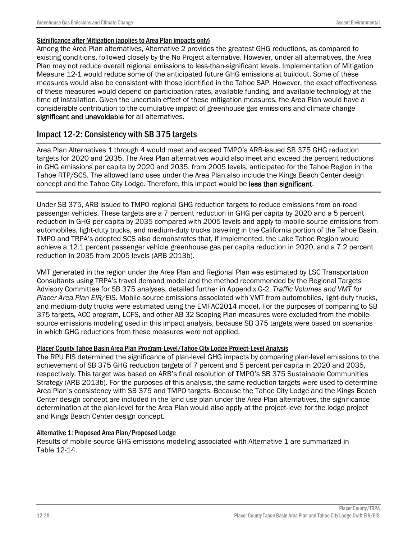### Significance after Mitigation (applies to Area Plan impacts only)

Among the Area Plan alternatives, Alternative 2 provides the greatest GHG reductions, as compared to existing conditions, followed closely by the No Project alternative. However, under all alternatives, the Area Plan may not reduce overall regional emissions to less-than-significant levels. Implementation of Mitigation Measure 12-1 would reduce some of the anticipated future GHG emissions at buildout. Some of these measures would also be consistent with those identified in the Tahoe SAP. However, the exact effectiveness of these measures would depend on participation rates, available funding, and available technology at the time of installation. Given the uncertain effect of these mitigation measures, the Area Plan would have a considerable contribution to the cumulative impact of greenhouse gas emissions and climate change significant and unavoidable for all alternatives.

## Impact 12-2: Consistency with SB 375 targets

Area Plan Alternatives 1 through 4 would meet and exceed TMPO's ARB-issued SB 375 GHG reduction targets for 2020 and 2035. The Area Plan alternatives would also meet and exceed the percent reductions in GHG emissions per capita by 2020 and 2035, from 2005 levels, anticipated for the Tahoe Region in the Tahoe RTP/SCS. The allowed land uses under the Area Plan also include the Kings Beach Center design concept and the Tahoe City Lodge. Therefore, this impact would be less than significant.

Under SB 375, ARB issued to TMPO regional GHG reduction targets to reduce emissions from on-road passenger vehicles. These targets are a 7 percent reduction in GHG per capita by 2020 and a 5 percent reduction in GHG per capita by 2035 compared with 2005 levels and apply to mobile-source emissions from automobiles, light-duty trucks, and medium-duty trucks traveling in the California portion of the Tahoe Basin. TMPO and TRPA's adopted SCS also demonstrates that, if implemented, the Lake Tahoe Region would achieve a 12.1 percent passenger vehicle greenhouse gas per capita reduction in 2020, and a 7.2 percent reduction in 2035 from 2005 levels (ARB 2013b).

VMT generated in the region under the Area Plan and Regional Plan was estimated by LSC Transportation Consultants using TRPA's travel demand model and the method recommended by the Regional Targets Advisory Committee for SB 375 analyses, detailed further in Appendix G-2, *Traffic Volumes and VMT for Placer Area Plan EIR/EIS*. Mobile-source emissions associated with VMT from automobiles, light-duty trucks, and medium-duty trucks were estimated using the EMFAC2014 model. For the purposes of comparing to SB 375 targets, ACC program, LCFS, and other AB 32 Scoping Plan measures were excluded from the mobilesource emissions modeling used in this impact analysis, because SB 375 targets were based on scenarios in which GHG reductions from these measures were not applied.

### Placer County Tahoe Basin Area Plan Program-Level/Tahoe City Lodge Project-Level Analysis

The RPU EIS determined the significance of plan-level GHG impacts by comparing plan-level emissions to the achievement of SB 375 GHG reduction targets of 7 percent and 5 percent per capita in 2020 and 2035, respectively. This target was based on ARB's final resolution of TMPO's SB 375 Sustainable Communities Strategy (ARB 2013b). For the purposes of this analysis, the same reduction targets were used to determine Area Plan's consistency with SB 375 and TMPO targets. Because the Tahoe City Lodge and the Kings Beach Center design concept are included in the land use plan under the Area Plan alternatives, the significance determination at the plan-level for the Area Plan would also apply at the project-level for the lodge project and Kings Beach Center design concept.

### Alternative 1: Proposed Area Plan/Proposed Lodge

Results of mobile-source GHG emissions modeling associated with Alternative 1 are summarized in Table 12-14.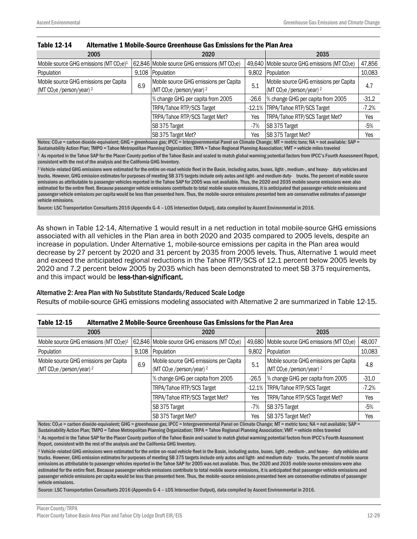| 2005                                                                               |     | 2020                                                                                        |         | 2035                                                                                        |         |
|------------------------------------------------------------------------------------|-----|---------------------------------------------------------------------------------------------|---------|---------------------------------------------------------------------------------------------|---------|
| Mobile source GHG emissions (MT CO <sub>2</sub> e) <sup>1</sup>                    |     | 62,846 Mobile source GHG emissions (MT CO2e)                                                |         | 49,640 Mobile source GHG emissions (MT CO2e)                                                | 47,856  |
| Population                                                                         |     | 9,108 Population                                                                            | 9.802   | Population                                                                                  | 10,083  |
| Mobile source GHG emissions per Capita<br>(MT CO <sub>2</sub> e / person/year) $2$ | 6.9 | Mobile source GHG emissions per Capita<br>(MT CO <sub>2</sub> e / person/year) <sup>2</sup> | 5.1     | Mobile source GHG emissions per Capita<br>(MT CO <sub>2</sub> e / person/year) <sup>2</sup> | 4.7     |
|                                                                                    |     | % change GHG per capita from 2005                                                           | $-26.6$ | % change GHG per capita from 2005                                                           | $-31.2$ |
|                                                                                    |     | TRPA/Tahoe RTP/SCS Target                                                                   |         | -12.1%   TRPA/Tahoe RTP/SCS Target                                                          | $-7.2%$ |
|                                                                                    |     | TRPA/Tahoe RTP/SCS Target Met?                                                              | Yes     | TRPA/Tahoe RTP/SCS Target Met?                                                              | Yes     |
|                                                                                    |     | SB 375 Target                                                                               | $-7%$   | SB 375 Target                                                                               | $-5%$   |
|                                                                                    |     | SB 375 Target Met?                                                                          | Yes     | SB 375 Target Met?                                                                          | Yes     |

### Table 12-14 Alternative 1 Mobile-Source Greenhouse Gas Emissions for the Plan Area

Notes: CO<sub>2</sub>e = carbon dioxide-equivalent; GHG = greenhouse gas; IPCC = Intergovernmental Panel on Climate Change; MT = metric tons; NA = not available; SAP = Sustainability Action Plan; TMPO = Tahoe Metropolitan Planning Organization; TRPA = Tahoe Regional Planning Association; VMT = vehiclemiles traveled

<sup>1</sup> As reported in the Tahoe SAP for the Placer County portion of the Tahoe Basin and scaled to match global warming potential factors from IPCC's Fourth Assessment Report, consistent with the rest of the analysis and the California GHG Inventory.

<sup>2</sup> Vehicle-related GHG emissions were estimated for the entire on-road vehicle fleet in the Basin, including autos, buses, light-, medium-, and heavy- duty vehicles and trucks. However, GHG emission estimates for purposes of meeting SB 375 targets include only autos and light- and medium duty- trucks. The percent of mobile source emissions as attributable to passenger vehicles reported in the Tahoe SAP for 2005 was not available. Thus, the 2020 and 2035 mobile source emissions were also estimated for the entire fleet. Because passenger vehicle emissions contribute to total mobile source emissions, it is anticipated that passenger vehicle emissions and passenger vehicle emissions per capita would be less than presented here. Thus, the mobile-source emissions presented here are conservative estimates of passenger vehicle emissions.

Source: LSC Transportation Consultants 2016 (Appendix G-4 – LOS Intersection Output), data compiled by Ascent Environmental in 2016.

As shown in Table 12-14, Alternative 1 would result in a net reduction in total mobile-source GHG emissions associated with all vehicles in the Plan area in both 2020 and 2035 compared to 2005 levels, despite an increase in population. Under Alternative 1, mobile-source emissions per capita in the Plan area would decrease by 27 percent by 2020 and 31 percent by 2035 from 2005 levels. Thus, Alternative 1 would meet and exceed the anticipated regional reductions in the Tahoe RTP/SCS of 12.1 percent below 2005 levels by 2020 and 7.2 percent below 2005 by 2035 which has been demonstrated to meet SB 375 requirements, and this impact would be less-than-significant.

#### Alternative 2: Area Plan with No Substitute Standards/Reduced Scale Lodge

Results of mobile-source GHG emissions modeling associated with Alternative 2 are summarized in Table 12-15.

| <br>שטות וואז דעון וואן שונטונים שוויט שני שונטטוויט שונט שטויים א טווישטויים שני הייד |       |                                                                                   |         |                                                                                    |         |
|----------------------------------------------------------------------------------------|-------|-----------------------------------------------------------------------------------|---------|------------------------------------------------------------------------------------|---------|
| 2005                                                                                   |       | 2020                                                                              |         | 2035                                                                               |         |
| Mobile source GHG emissions (MT CO2e) <sup>1</sup>                                     |       | 62,846   Mobile source GHG emissions (MT CO2e)                                    |         | 49,680   Mobile source GHG emissions (MT CO2e)                                     | 48.007  |
| Population                                                                             | 9.108 | Population                                                                        | 9,802   | Population                                                                         | 10,083  |
| Mobile source GHG emissions per Capita<br>(MT CO <sub>2</sub> e / person/year) $2$     | 6.9   | Mobile source GHG emissions per Capita<br>(MT CO <sub>2</sub> e /person/year) $2$ | 5.1     | Mobile source GHG emissions per Capita<br>(MT CO <sub>2</sub> e / person/year) $2$ | 4.8     |
|                                                                                        |       | % change GHG per capita from 2005                                                 | $-26.5$ | % change GHG per capita from 2005                                                  | $-31.0$ |
|                                                                                        |       | TRPA/Tahoe RTP/SCS Target                                                         |         | -12.1%   TRPA/Tahoe RTP/SCS Target                                                 | $-7.2%$ |
|                                                                                        |       | TRPA/Tahoe RTP/SCS Target Met?                                                    | Yes     | TRPA/Tahoe RTP/SCS Target Met?                                                     | Yes     |
|                                                                                        |       | SB 375 Target                                                                     | $-7%$   | SB 375 Target                                                                      | -5%     |
|                                                                                        |       | SB 375 Target Met?                                                                | Yes     | SB 375 Target Met?                                                                 | Yes     |

| Alternative 2 Mobile-Source Greenhouse Gas Emissions for the Plan Area<br><b>Table 12-15</b> |  |  |
|----------------------------------------------------------------------------------------------|--|--|
|----------------------------------------------------------------------------------------------|--|--|

Notes: CO<sub>2</sub>e = carbon dioxide-equivalent; GHG = greenhouse gas; IPCC = Intergovernmental Panel on Climate Change; MT = metric tons; NA = not available; SAP = Sustainability Action Plan; TMPO = Tahoe Metropolitan Planning Organization; TRPA = Tahoe Regional Planning Association; VMT = vehiclemiles traveled <sup>1</sup> As reported in the Tahoe SAP for the Placer County portion of the Tahoe Basin and scaled to match global warming potential factors from IPCC's Fourth Assessment Report, consistent with the rest of the analysis and the California GHG Inventory.

<sup>2</sup> Vehicle-related GHG emissions were estimated for the entire on-road vehicle fleet in the Basin, including autos, buses, light-,medium-, and heavy- duty vehicles and trucks. However, GHG emission estimates for purposes of meeting SB 375 targets include only autos and light- and medium duty- trucks. The percent of mobile source emissions as attributable to passenger vehicles reported in the Tahoe SAP for 2005 was not available. Thus, the 2020 and 2035 mobile source emissions were also estimated for the entire fleet. Because passenger vehicle emissions contribute to total mobile source emissions, it is anticipated that passenger vehicle emissions and passenger vehicle emissions per capita would be less than presented here. Thus, the mobile-source emissions presented here are conservative estimates of passenger vehicle emissions.

Source: LSC Transportation Consultants 2016 (Appendix G-4 – LOS Intersection Output), data compiled by Ascent Environmental in 2016.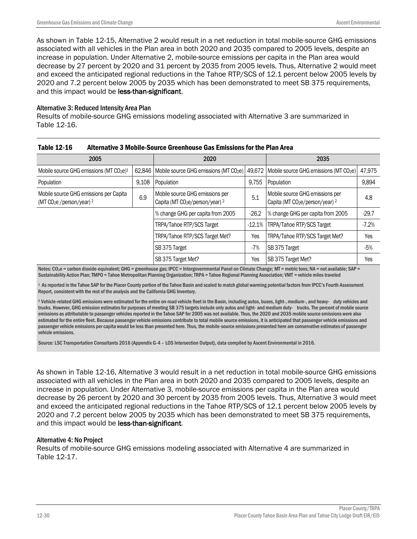As shown in Table 12-15, Alternative 2 would result in a net reduction in total mobile-source GHG emissions associated with all vehicles in the Plan area in both 2020 and 2035 compared to 2005 levels, despite an increase in population. Under Alternative 2, mobile-source emissions per capita in the Plan area would decrease by 27 percent by 2020 and 31 percent by 2035 from 2005 levels. Thus, Alternative 2 would meet and exceed the anticipated regional reductions in the Tahoe RTP/SCS of 12.1 percent below 2005 levels by 2020 and 7.2 percent below 2005 by 2035 which has been demonstrated to meet SB 375 requirements, and this impact would be less-than-significant.

#### Alternative 3: Reduced Intensity Area Plan

Results of mobile-source GHG emissions modeling associated with Alternative 3 are summarized in Table 12-16.

| 2005  |                                                                                           | 2020     |                                                        |                                                                                                                                                                      |  |  |
|-------|-------------------------------------------------------------------------------------------|----------|--------------------------------------------------------|----------------------------------------------------------------------------------------------------------------------------------------------------------------------|--|--|
|       |                                                                                           |          |                                                        | 47,975                                                                                                                                                               |  |  |
| 9,108 | Population                                                                                | 9.755    | Population                                             | 9,894                                                                                                                                                                |  |  |
| 6.9   | Mobile source GHG emissions per<br>Capita (MT CO <sub>2</sub> e/person/year) <sup>2</sup> | 5.1      | Capita (MT CO <sub>2</sub> e/person/year) <sup>2</sup> | 4.8                                                                                                                                                                  |  |  |
|       | % change GHG per capita from 2005                                                         | $-26.2$  | % change GHG per capita from 2005                      | $-29.7$                                                                                                                                                              |  |  |
|       | TRPA/Tahoe RTP/SCS Target                                                                 | $-12.1%$ | TRPA/Tahoe RTP/SCS Target                              | $-7.2%$                                                                                                                                                              |  |  |
|       | TRPA/Tahoe RTP/SCS Target Met?                                                            | Yes      | TRPA/Tahoe RTP/SCS Target Met?                         | Yes                                                                                                                                                                  |  |  |
|       | SB 375 Target                                                                             | $-7%$    | SB 375 Target                                          | $-5%$                                                                                                                                                                |  |  |
|       | SB 375 Target Met?                                                                        | Yes      | SB 375 Target Met?                                     | Yes                                                                                                                                                                  |  |  |
|       |                                                                                           |          |                                                        | 2035<br>62,846   Mobile source GHG emissions (MT CO <sub>2</sub> e)   49,672   Mobile source GHG emissions (MT CO <sub>2</sub> e)<br>Mobile source GHG emissions per |  |  |

| <b>Table 12-16</b> | Alternative 3 Mobile-Source Greenhouse Gas Emissions for the Plan Area |
|--------------------|------------------------------------------------------------------------|
|                    |                                                                        |

Notes:  $CO_2e$  = carbon dioxide-equivalent; GHG = greenhouse gas; IPCC = Intergovernmental Panel on Climate Change; MT = metric tons; NA = not available; SAP = Sustainability Action Plan; TMPO = Tahoe Metropolitan Planning Organization; TRPA = Tahoe Regional Planning Association; VMT = vehiclemiles traveled

<sup>1</sup> As reported in the Tahoe SAP for the Placer County portion of the Tahoe Basin and scaled to match global warming potential factors from IPCC's Fourth Assessment Report, consistent with the rest of the analysis and the California GHG Inventory.

<sup>2</sup> Vehicle-related GHG emissions were estimated for the entire on-road vehicle fleet in the Basin, including autos, buses, light-,medium-, and heavy- duty vehicles and trucks. However, GHG emission estimates for purposes of meeting SB 375 targets include only autos and light- and medium duty- trucks. The percent of mobile source emissions as attributable to passenger vehicles reported in the Tahoe SAP for 2005 was not available. Thus, the 2020 and 2035 mobile source emissions were also estimated for the entire fleet. Because passenger vehicle emissions contribute to total mobile source emissions, it is anticipated that passenger vehicle emissions and passenger vehicle emissions per capita would be less than presented here. Thus, the mobile-source emissions presented here are conservative estimates of passenger vehicle emissions.

Source: LSC Transportation Consultants 2016 (Appendix G-4 – LOS Intersection Output), data compiled by Ascent Environmental in 2016.

As shown in Table 12-16, Alternative 3 would result in a net reduction in total mobile-source GHG emissions associated with all vehicles in the Plan area in both 2020 and 2035 compared to 2005 levels, despite an increase in population. Under Alternative 3, mobile-source emissions per capita in the Plan area would decrease by 26 percent by 2020 and 30 percent by 2035 from 2005 levels. Thus, Alternative 3 would meet and exceed the anticipated regional reductions in the Tahoe RTP/SCS of 12.1 percent below 2005 levels by 2020 and 7.2 percent below 2005 by 2035 which has been demonstrated to meet SB 375 requirements, and this impact would be less-than-significant.

### Alternative 4: No Project

Results of mobile-source GHG emissions modeling associated with Alternative 4 are summarized in Table 12-17.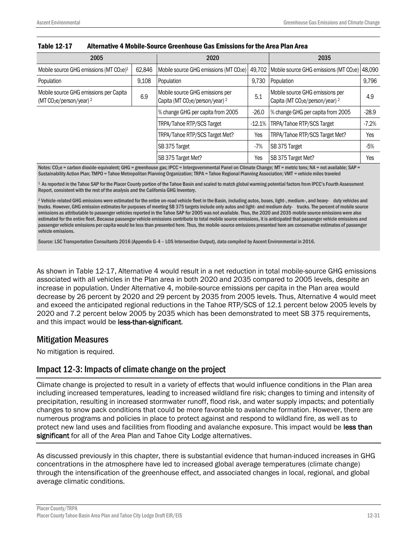| 2005                                                                                      |        | 2020                                                                                      |          | 2035                                                                                      |         |
|-------------------------------------------------------------------------------------------|--------|-------------------------------------------------------------------------------------------|----------|-------------------------------------------------------------------------------------------|---------|
| Mobile source GHG emissions (MT CO2e) <sup>1</sup>                                        | 62.846 | Mobile source GHG emissions (MT CO2e)                                                     | 49.702   | Mobile source GHG emissions (MT CO2e)                                                     | 48.090  |
| Population                                                                                | 9.108  | Population                                                                                | 9.730    | Population                                                                                | 9,796   |
| Mobile source GHG emissions per Capita<br>(MT CO <sub>2</sub> e/person/year) <sup>2</sup> | 6.9    | Mobile source GHG emissions per<br>Capita (MT CO <sub>2</sub> e/person/year) <sup>2</sup> | 5.1      | Mobile source GHG emissions per<br>Capita (MT CO <sub>2</sub> e/person/year) <sup>2</sup> | 4.9     |
|                                                                                           |        | % change GHG per capita from 2005                                                         | $-26.0$  | % change GHG per capita from 2005                                                         | $-28.9$ |
|                                                                                           |        | TRPA/Tahoe RTP/SCS Target                                                                 | $-12.1%$ | TRPA/Tahoe RTP/SCS Target                                                                 | $-7.2%$ |
|                                                                                           |        | TRPA/Tahoe RTP/SCS Target Met?                                                            | Yes      | TRPA/Tahoe RTP/SCS Target Met?                                                            | Yes     |
|                                                                                           |        | SB 375 Target                                                                             | $-7%$    | SB 375 Target                                                                             | $-5%$   |
|                                                                                           |        | SB 375 Target Met?                                                                        | Yes      | SB 375 Target Met?                                                                        | Yes     |

Notes: CO<sub>2</sub>e = carbon dioxide-equivalent; GHG = greenhouse gas; IPCC = Intergovernmental Panel on Climate Change; MT = metric tons; NA = not available; SAP = Sustainability Action Plan; TMPO = Tahoe Metropolitan Planning Organization; TRPA = Tahoe Regional Planning Association; VMT = vehiclemiles traveled

<sup>1</sup> As reported in the Tahoe SAP for the Placer County portion of the Tahoe Basin and scaled to match global warming potential factors from IPCC's Fourth Assessment Report, consistent with the rest of the analysis and the California GHG Inventory.

<sup>2</sup> Vehicle-related GHG emissions were estimated for the entire on-road vehicle fleet in the Basin, including autos, buses, light-, medium-, and heavy- duty vehicles and trucks. However, GHG emission estimates for purposes of meeting SB 375 targets include only autos and light- and medium duty- trucks. The percent of mobile source emissions as attributable to passenger vehicles reported in the Tahoe SAP for 2005 was not available. Thus, the 2020 and 2035 mobile source emissions were also estimated for the entire fleet. Because passenger vehicle emissions contribute to total mobile source emissions, it is anticipated that passenger vehicle emissions and passenger vehicle emissions per capita would be less than presented here. Thus, the mobile-source emissions presented here are conservative estimates of passenger vehicle emissions.

Source: LSC Transportation Consultants 2016 (Appendix G-4 – LOS Intersection Output), data compiled by Ascent Environmental in 2016.

As shown in Table 12-17, Alternative 4 would result in a net reduction in total mobile-source GHG emissions associated with all vehicles in the Plan area in both 2020 and 2035 compared to 2005 levels, despite an increase in population. Under Alternative 4, mobile-source emissions per capita in the Plan area would decrease by 26 percent by 2020 and 29 percent by 2035 from 2005 levels. Thus, Alternative 4 would meet and exceed the anticipated regional reductions in the Tahoe RTP/SCS of 12.1 percent below 2005 levels by 2020 and 7.2 percent below 2005 by 2035 which has been demonstrated to meet SB 375 requirements, and this impact would be less-than-significant.

### Mitigation Measures

No mitigation is required.

### Impact 12-3: Impacts of climate change on the project

Climate change is projected to result in a variety of effects that would influence conditions in the Plan area including increased temperatures, leading to increased wildland fire risk; changes to timing and intensity of precipitation, resulting in increased stormwater runoff, flood risk, and water supply impacts; and potentially changes to snow pack conditions that could be more favorable to avalanche formation. However, there are numerous programs and policies in place to protect against and respond to wildland fire, as well as to protect new land uses and facilities from flooding and avalanche exposure. This impact would be less than significant for all of the Area Plan and Tahoe City Lodge alternatives.

As discussed previously in this chapter, there is substantial evidence that human-induced increases in GHG concentrations in the atmosphere have led to increased global average temperatures (climate change) through the intensification of the greenhouse effect, and associated changes in local, regional, and global average climatic conditions.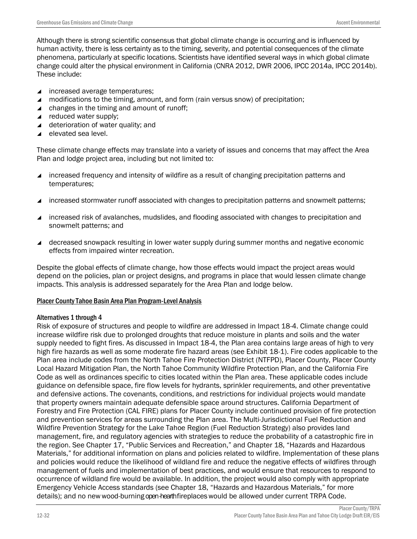Although there is strong scientific consensus that global climate change is occurring and is influenced by human activity, there is less certainty as to the timing, severity, and potential consequences of the climate phenomena, particularly at specific locations. Scientists have identified several ways in which global climate change could alter the physical environment in California (CNRA 2012, DWR 2006, IPCC 2014a, IPCC 2014b). These include:

- ▲ increased average temperatures;
- modifications to the timing, amount, and form (rain versus snow) of precipitation;
- $\triangle$  changes in the timing and amount of runoff;
- ▲ reduced water supply;
- $\triangleleft$  deterioration of water quality; and
- **A** elevated sea level.

These climate change effects may translate into a variety of issues and concerns that may affect the Area Plan and lodge project area, including but not limited to:

- **increased frequency and intensity of wildfire as a result of changing precipitation patterns and** temperatures;
- increased stormwater runoff associated with changes to precipitation patterns and snowmelt patterns;
- increased risk of avalanches, mudslides, and flooding associated with changes to precipitation and snowmelt patterns; and
- decreased snowpack resulting in lower water supply during summer months and negative economic effects from impaired winter recreation.

Despite the global effects of climate change, how those effects would impact the project areas would depend on the policies, plan or project designs, and programs in place that would lessen climate change impacts. This analysis is addressed separately for the Area Plan and lodge below.

### Placer County Tahoe Basin Area Plan Program-Level Analysis

### Alternatives 1 through 4

Risk of exposure of structures and people to wildfire are addressed in Impact 18-4. Climate change could increase wildfire risk due to prolonged droughts that reduce moisture in plants and soils and the water supply needed to fight fires. As discussed in Impact 18-4, the Plan area contains large areas of high to very high fire hazards as well as some moderate fire hazard areas (see Exhibit 18-1). Fire codes applicable to the Plan area include codes from the North Tahoe Fire Protection District (NTFPD), Placer County, Placer County Local Hazard Mitigation Plan, the North Tahoe Community Wildfire Protection Plan, and the California Fire Code as well as ordinances specific to cities located within the Plan area. These applicable codes include guidance on defensible space, fire flow levels for hydrants, sprinkler requirements, and other preventative and defensive actions. The covenants, conditions, and restrictions for individual projects would mandate that property owners maintain adequate defensible space around structures. California Department of Forestry and Fire Protection (CAL FIRE) plans for Placer County include continued provision of fire protection and prevention services for areas surrounding the Plan area. The Multi-Jurisdictional Fuel Reduction and Wildfire Prevention Strategy for the Lake Tahoe Region (Fuel Reduction Strategy) also provides land management, fire, and regulatory agencies with strategies to reduce the probability of a catastrophic fire in the region. See Chapter 17, "Public Services and Recreation," and Chapter 18, "Hazards and Hazardous Materials," for additional information on plans and policies related to wildfire. Implementation of these plans and policies would reduce the likelihood of wildland fire and reduce the negative effects of wildfires through management of fuels and implementation of best practices, and would ensure that resources to respond to occurrence of wildland fire would be available. In addition, the project would also comply with appropriate Emergency Vehicle Access standards (see Chapter 18, "Hazards and Hazardous Materials," for more details); and no new wood-burning open-hearth fireplaces would be allowed under current TRPA Code.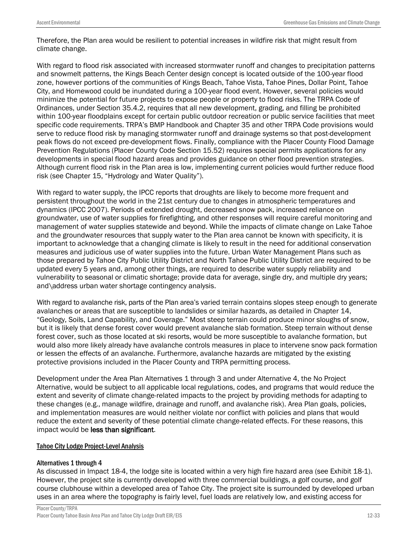Therefore, the Plan area would be resilient to potential increases in wildfire risk that might result from climate change.

With regard to flood risk associated with increased stormwater runoff and changes to precipitation patterns and snowmelt patterns, the Kings Beach Center design concept is located outside of the 100-year flood zone, however portions of the communities of Kings Beach, Tahoe Vista, Tahoe Pines, Dollar Point, Tahoe City, and Homewood could be inundated during a 100-year flood event. However, several policies would minimize the potential for future projects to expose people or property to flood risks. The TRPA Code of Ordinances, under Section 35.4.2, requires that all new development, grading, and filling be prohibited within 100-year floodplains except for certain public outdoor recreation or public service facilities that meet specific code requirements. TRPA's BMP Handbook and Chapter 35 and other TRPA Code provisions would serve to reduce flood risk by managing stormwater runoff and drainage systems so that post-development peak flows do not exceed pre-development flows. Finally, compliance with the Placer County Flood Damage Prevention Regulations (Placer County Code Section 15.52) requires special permits applications for any developments in special flood hazard areas and provides guidance on other flood prevention strategies. Although current flood risk in the Plan area is low, implementing current policies would further reduce flood risk (see Chapter 15, "Hydrology and Water Quality").

With regard to water supply, the IPCC reports that droughts are likely to become more frequent and persistent throughout the world in the 21st century due to changes in atmospheric temperatures and dynamics (IPCC 2007). Periods of extended drought, decreased snow pack, increased reliance on groundwater, use of water supplies for firefighting, and other responses will require careful monitoring and management of water supplies statewide and beyond. While the impacts of climate change on Lake Tahoe and the groundwater resources that supply water to the Plan area cannot be known with specificity, it is important to acknowledge that a changing climate is likely to result in the need for additional conservation measures and judicious use of water supplies into the future. Urban Water Management Plans such as those prepared by Tahoe City Public Utility District and North Tahoe Public Utility District are required to be updated every 5 years and, among other things, are required to describe water supply reliability and vulnerability to seasonal or climatic shortage; provide data for average, single dry, and multiple dry years; and\address urban water shortage contingency analysis.

With regard to avalanche risk, parts of the Plan area's varied terrain contains slopes steep enough to generate avalanches or areas that are susceptible to landslides or similar hazards, as detailed in Chapter 14, "Geology, Soils, Land Capability, and Coverage." Most steep terrain could produce minor sloughs of snow, but it is likely that dense forest cover would prevent avalanche slab formation. Steep terrain without dense forest cover, such as those located at ski resorts, would be more susceptible to avalanche formation, but would also more likely already have avalanche controls measures in place to intervene snow pack formation or lessen the effects of an avalanche. Furthermore, avalanche hazards are mitigated by the existing protective provisions included in the Placer County and TRPA permitting process.

Development under the Area Plan Alternatives 1 through 3 and under Alternative 4, the No Project Alternative, would be subject to all applicable local regulations, codes, and programs that would reduce the extent and severity of climate change-related impacts to the project by providing methods for adapting to these changes (e.g., manage wildfire, drainage and runoff, and avalanche risk). Area Plan goals, policies, and implementation measures are would neither violate nor conflict with policies and plans that would reduce the extent and severity of these potential climate change-related effects. For these reasons, this impact would be less than significant.

### Tahoe City Lodge Project-Level Analysis

### Alternatives 1 through 4

As discussed in Impact 18-4, the lodge site is located within a very high fire hazard area (see Exhibit 18-1). However, the project site is currently developed with three commercial buildings, a golf course, and golf course clubhouse within a developed area of Tahoe City. The project site is surrounded by developed urban uses in an area where the topography is fairly level, fuel loads are relatively low, and existing access for